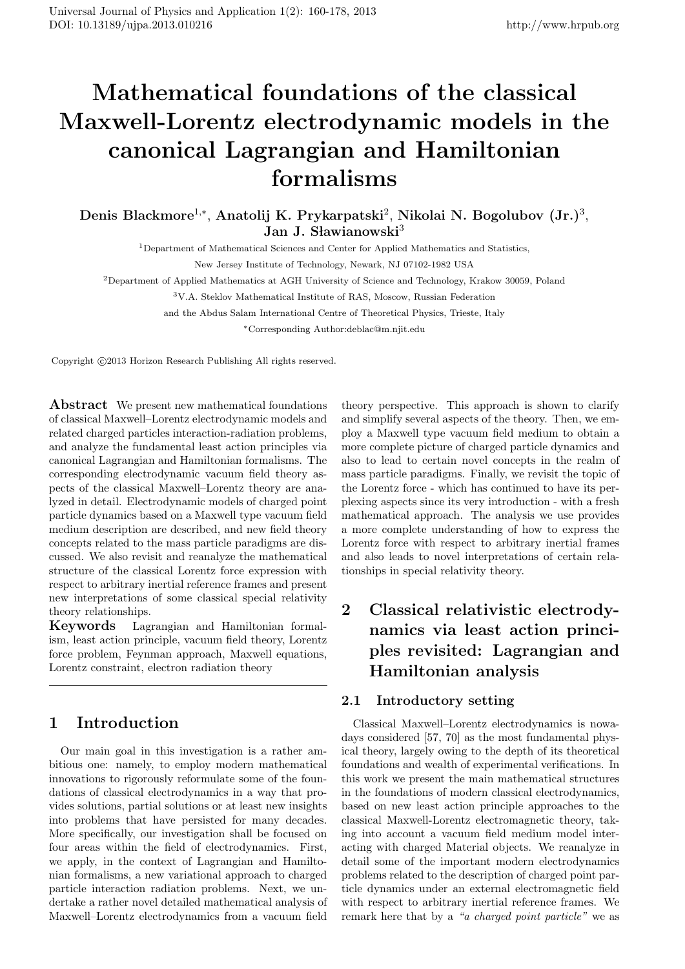# **Mathematical foundations of the classical Maxwell-Lorentz electrodynamic models in the canonical Lagrangian and Hamiltonian formalisms**

**Denis Blackmore**<sup>1</sup>*,<sup>∗</sup>* , **Anatolij K. Prykarpatski**<sup>2</sup> , **Nikolai N. Bogolubov (Jr.)**<sup>3</sup> , **Jan J. Slawianowski**<sup>3</sup>

<sup>1</sup>Department of Mathematical Sciences and Center for Applied Mathematics and Statistics,

New Jersey Institute of Technology, Newark, NJ 07102-1982 USA

<sup>2</sup>Department of Applied Mathematics at AGH University of Science and Technology, Krakow 30059, Poland

<sup>3</sup>V.A. Steklov Mathematical Institute of RAS, Moscow, Russian Federation

and the Abdus Salam International Centre of Theoretical Physics, Trieste, Italy

*∗*Corresponding Author:deblac@m.njit.edu

Copyright  $\odot$ 2013 Horizon Research Publishing All rights reserved.

**Abstract** We present new mathematical foundations of classical Maxwell–Lorentz electrodynamic models and related charged particles interaction-radiation problems, and analyze the fundamental least action principles via canonical Lagrangian and Hamiltonian formalisms. The corresponding electrodynamic vacuum field theory aspects of the classical Maxwell–Lorentz theory are analyzed in detail. Electrodynamic models of charged point particle dynamics based on a Maxwell type vacuum field medium description are described, and new field theory concepts related to the mass particle paradigms are discussed. We also revisit and reanalyze the mathematical structure of the classical Lorentz force expression with respect to arbitrary inertial reference frames and present new interpretations of some classical special relativity theory relationships.

**Keywords** Lagrangian and Hamiltonian formalism, least action principle, vacuum field theory, Lorentz force problem, Feynman approach, Maxwell equations, Lorentz constraint, electron radiation theory

# **1 Introduction**

Our main goal in this investigation is a rather ambitious one: namely, to employ modern mathematical innovations to rigorously reformulate some of the foundations of classical electrodynamics in a way that provides solutions, partial solutions or at least new insights into problems that have persisted for many decades. More specifically, our investigation shall be focused on four areas within the field of electrodynamics. First, we apply, in the context of Lagrangian and Hamiltonian formalisms, a new variational approach to charged particle interaction radiation problems. Next, we undertake a rather novel detailed mathematical analysis of Maxwell–Lorentz electrodynamics from a vacuum field

theory perspective. This approach is shown to clarify and simplify several aspects of the theory. Then, we employ a Maxwell type vacuum field medium to obtain a more complete picture of charged particle dynamics and also to lead to certain novel concepts in the realm of mass particle paradigms. Finally, we revisit the topic of the Lorentz force - which has continued to have its perplexing aspects since its very introduction - with a fresh mathematical approach. The analysis we use provides a more complete understanding of how to express the Lorentz force with respect to arbitrary inertial frames and also leads to novel interpretations of certain relationships in special relativity theory.

# **2 Classical relativistic electrodynamics via least action principles revisited: Lagrangian and Hamiltonian analysis**

#### **2.1 Introductory setting**

Classical Maxwell–Lorentz electrodynamics is nowadays considered [57, 70] as the most fundamental physical theory, largely owing to the depth of its theoretical foundations and wealth of experimental verifications. In this work we present the main mathematical structures in the foundations of modern classical electrodynamics, based on new least action principle approaches to the classical Maxwell-Lorentz electromagnetic theory, taking into account a vacuum field medium model interacting with charged Material objects. We reanalyze in detail some of the important modern electrodynamics problems related to the description of charged point particle dynamics under an external electromagnetic field with respect to arbitrary inertial reference frames. We remark here that by a *"a charged point particle"* we as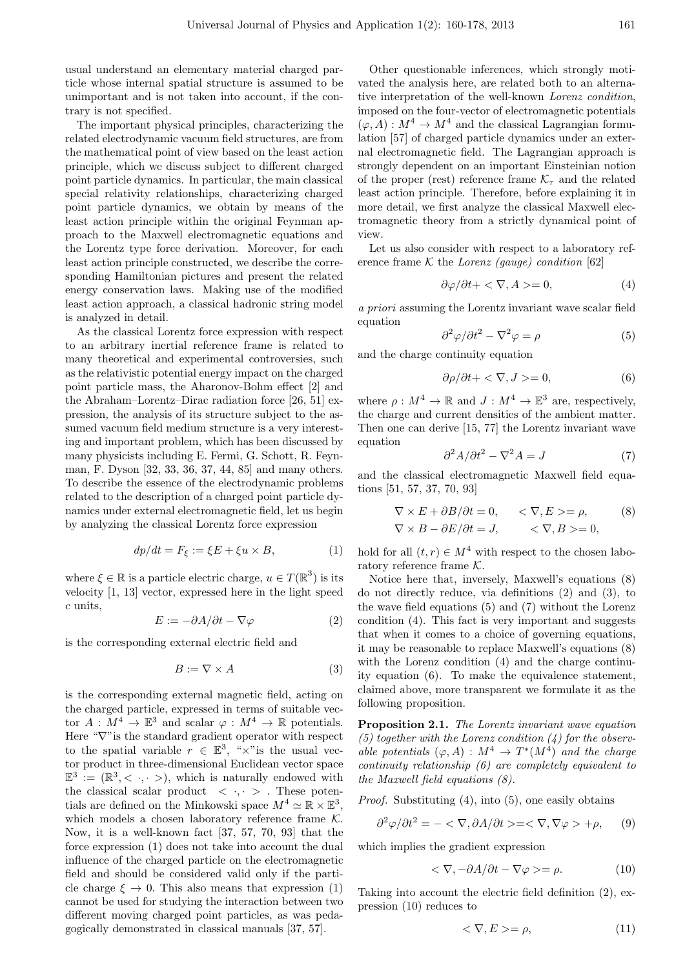usual understand an elementary material charged particle whose internal spatial structure is assumed to be unimportant and is not taken into account, if the contrary is not specified.

The important physical principles, characterizing the related electrodynamic vacuum field structures, are from the mathematical point of view based on the least action principle, which we discuss subject to different charged point particle dynamics. In particular, the main classical special relativity relationships, characterizing charged point particle dynamics, we obtain by means of the least action principle within the original Feynman approach to the Maxwell electromagnetic equations and the Lorentz type force derivation. Moreover, for each least action principle constructed, we describe the corresponding Hamiltonian pictures and present the related energy conservation laws. Making use of the modified least action approach, a classical hadronic string model is analyzed in detail.

As the classical Lorentz force expression with respect to an arbitrary inertial reference frame is related to many theoretical and experimental controversies, such as the relativistic potential energy impact on the charged point particle mass, the Aharonov-Bohm effect [2] and the Abraham–Lorentz–Dirac radiation force [26, 51] expression, the analysis of its structure subject to the assumed vacuum field medium structure is a very interesting and important problem, which has been discussed by many physicists including E. Fermi, G. Schott, R. Feynman, F. Dyson [32, 33, 36, 37, 44, 85] and many others. To describe the essence of the electrodynamic problems related to the description of a charged point particle dynamics under external electromagnetic field, let us begin by analyzing the classical Lorentz force expression

$$
dp/dt = F_{\xi} := \xi E + \xi u \times B,\tag{1}
$$

where  $\xi \in \mathbb{R}$  is a particle electric charge,  $u \in T(\mathbb{R}^3)$  is its velocity [1, 13] vector, expressed here in the light speed *c* units,

$$
E := -\partial A/\partial t - \nabla \varphi \tag{2}
$$

is the corresponding external electric field and

$$
B := \nabla \times A \tag{3}
$$

is the corresponding external magnetic field, acting on the charged particle, expressed in terms of suitable vector  $A: M^4 \to \mathbb{E}^3$  and scalar  $\varphi: M^4 \to \mathbb{R}$  potentials. Here " $∇$ " is the standard gradient operator with respect to the spatial variable  $r \in \mathbb{E}^3$ , " $\times$ " is the usual vector product in three-dimensional Euclidean vector space  $\mathbb{E}^{3} := (\mathbb{R}^{3}, \langle \cdot, \cdot \rangle)$ , which is naturally endowed with the classical scalar product  $\langle \cdot, \cdot \rangle$ . These potentials are defined on the Minkowski space  $M^4 \simeq \mathbb{R} \times \mathbb{E}^3$ , which models a chosen laboratory reference frame *K.* Now, it is a well-known fact [37, 57, 70, 93] that the force expression (1) does not take into account the dual influence of the charged particle on the electromagnetic field and should be considered valid only if the particle charge  $\xi \to 0$ . This also means that expression (1) cannot be used for studying the interaction between two different moving charged point particles, as was pedagogically demonstrated in classical manuals [37, 57].

Other questionable inferences, which strongly motivated the analysis here, are related both to an alternative interpretation of the well-known *Lorenz condition*, imposed on the four-vector of electromagnetic potentials  $(\varphi, A): M^4 \to M^4$  and the classical Lagrangian formulation [57] of charged particle dynamics under an external electromagnetic field. The Lagrangian approach is strongly dependent on an important Einsteinian notion of the proper (rest) reference frame  $\mathcal{K}_{\tau}$  and the related least action principle. Therefore, before explaining it in more detail, we first analyze the classical Maxwell electromagnetic theory from a strictly dynamical point of view.

Let us also consider with respect to a laboratory reference frame  $K$  the *Lorenz (gauge) condition* [62]

$$
\partial \varphi / \partial t + \langle \nabla, A \rangle = 0,\tag{4}
$$

*a priori* assuming the Lorentz invariant wave scalar field equation

$$
\partial^2 \varphi / \partial t^2 - \nabla^2 \varphi = \rho \tag{5}
$$

and the charge continuity equation

$$
\frac{\partial \rho}{\partial t} + \langle \nabla, J \rangle = 0,\tag{6}
$$

where  $\rho: M^4 \to \mathbb{R}$  and  $J: M^4 \to \mathbb{E}^3$  are, respectively, the charge and current densities of the ambient matter. Then one can derive [15, 77] the Lorentz invariant wave equation

$$
\partial^2 A / \partial t^2 - \nabla^2 A = J \tag{7}
$$

and the classical electromagnetic Maxwell field equations [51, 57, 37, 70, 93]

$$
\nabla \times E + \partial B / \partial t = 0, \quad \langle \nabla, E \rangle = \rho, \quad (8)
$$
  

$$
\nabla \times B - \partial E / \partial t = J, \quad \langle \nabla, B \rangle = 0,
$$

hold for all  $(t, r) \in M^4$  with respect to the chosen laboratory reference frame *K.*

Notice here that, inversely, Maxwell's equations (8) do not directly reduce, via definitions (2) and (3), to the wave field equations (5) and (7) without the Lorenz condition (4). This fact is very important and suggests that when it comes to a choice of governing equations, it may be reasonable to replace Maxwell's equations (8) with the Lorenz condition (4) and the charge continuity equation (6). To make the equivalence statement, claimed above, more transparent we formulate it as the following proposition.

**Proposition 2.1.** *The Lorentz invariant wave equation (5) together with the Lorenz condition (4) for the observable potentials*  $(\varphi, A) : M^4 \to T^*(M^4)$  *and the charge continuity relationship (6) are completely equivalent to the Maxwell field equations (8).*

*Proof.* Substituting (4), into (5), one easily obtains

$$
\partial^2 \varphi / \partial t^2 = - \langle \nabla, \partial A / \partial t \rangle = \langle \nabla, \nabla \varphi \rangle + \rho, \quad (9)
$$

which implies the gradient expression

$$
\langle \nabla, -\partial A/\partial t - \nabla \varphi \rangle = \rho. \tag{10}
$$

Taking into account the electric field definition (2), expression (10) reduces to

$$
\langle \nabla, E \rangle = \rho,\tag{11}
$$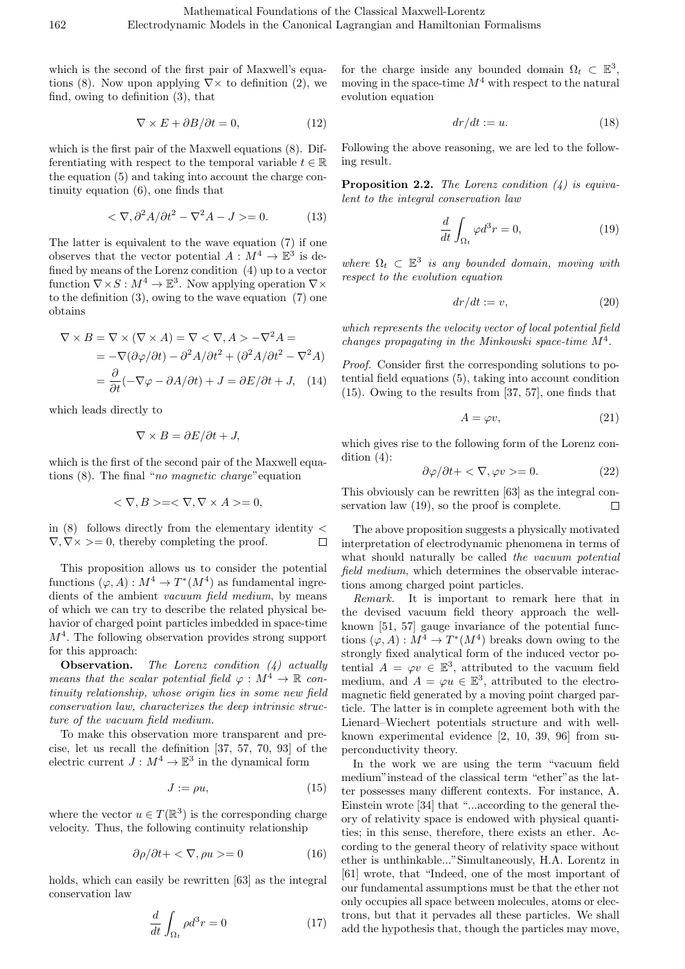which is the second of the first pair of Maxwell's equations (8). Now upon applying *∇×* to definition (2), we find, owing to definition (3), that

$$
\nabla \times E + \partial B / \partial t = 0,\tag{12}
$$

which is the first pair of the Maxwell equations (8). Differentiating with respect to the temporal variable  $t \in \mathbb{R}$ the equation (5) and taking into account the charge continuity equation (6), one finds that

$$
\langle \nabla, \partial^2 A / \partial t^2 - \nabla^2 A - J \rangle = 0. \tag{13}
$$

The latter is equivalent to the wave equation (7) if one observes that the vector potential  $A: M^4 \to \mathbb{E}^3$  is defined by means of the Lorenz condition (4) up to a vector function  $\nabla \times S : M^4 \to \mathbb{E}^3$ . Now applying operation  $\nabla \times$ to the definition  $(3)$ , owing to the wave equation  $(7)$  one obtains

$$
\nabla \times B = \nabla \times (\nabla \times A) = \nabla \times \nabla, A > -\nabla^2 A =
$$
  
= -\n
$$
-\nabla(\partial \varphi/\partial t) - \partial^2 A/\partial t^2 + (\partial^2 A/\partial t^2 - \nabla^2 A)
$$
  
= 
$$
\frac{\partial}{\partial t}(-\nabla \varphi - \partial A/\partial t) + J = \partial E/\partial t + J, (14)
$$

which leads directly to

$$
\nabla \times B = \partial E / \partial t + J,
$$

which is the first of the second pair of the Maxwell equations (8). The final "*no magnetic charge*"equation

$$
\langle \nabla, B \rangle = \langle \nabla, \nabla \times A \rangle = 0,
$$

in (8) follows directly from the elementary identity *< ∇, ∇× >*= 0*,* thereby completing the proof.  $\Box$ 

This proposition allows us to consider the potential functions  $(\varphi, A) : M^4 \to T^*(M^4)$  as fundamental ingredients of the ambient *vacuum field medium*, by means of which we can try to describe the related physical behavior of charged point particles imbedded in space-time *M*<sup>4</sup> *.* The following observation provides strong support for this approach:

**Observation.** *The Lorenz condition (4) actually means that the scalar potential field*  $\varphi : M^4 \to \mathbb{R}$  *continuity relationship, whose origin lies in some new field conservation law, characterizes the deep intrinsic structure of the vacuum field medium.*

To make this observation more transparent and precise, let us recall the definition [37, 57, 70, 93] of the electric current  $J: M^4 \to \mathbb{E}^3$  in the dynamical form

$$
J := \rho u,\tag{15}
$$

where the vector  $u \in T(\mathbb{R}^3)$  is the corresponding charge velocity. Thus, the following continuity relationship

$$
\partial \rho / \partial t + \langle \nabla, \rho u \rangle = 0 \tag{16}
$$

holds, which can easily be rewritten [63] as the integral conservation law

$$
\frac{d}{dt} \int_{\Omega_t} \rho d^3 r = 0 \tag{17}
$$

for the charge inside any bounded domain  $\Omega_t \subset \mathbb{E}^3$ , moving in the space-time *M*<sup>4</sup> with respect to the natural evolution equation

$$
dr/dt := u.\t\t(18)
$$

Following the above reasoning, we are led to the following result.

**Proposition 2.2.** *The Lorenz condition (4) is equivalent to the integral conservation law*

$$
\frac{d}{dt} \int_{\Omega_t} \varphi d^3 r = 0,\tag{19}
$$

*where*  $\Omega_t \subset \mathbb{E}^3$  *is any bounded domain, moving with respect to the evolution equation*

$$
dr/dt := v,\t\t(20)
$$

*which represents the velocity vector of local potential field changes propagating in the Minkowski space-time M*<sup>4</sup> *.*

*Proof.* Consider first the corresponding solutions to potential field equations (5), taking into account condition (15). Owing to the results from [37, 57], one finds that

$$
A = \varphi v,\tag{21}
$$

which gives rise to the following form of the Lorenz condition (4):

$$
\frac{\partial \varphi}{\partial t} + \langle \nabla, \varphi v \rangle = 0. \tag{22}
$$

This obviously can be rewritten [63] as the integral conservation law (19), so the proof is complete.  $\Box$ 

The above proposition suggests a physically motivated interpretation of electrodynamic phenomena in terms of what should naturally be called *the vacuum potential field medium*, which determines the observable interactions among charged point particles.

*Remark.* It is important to remark here that in the devised vacuum field theory approach the wellknown [51, 57] gauge invariance of the potential functions  $(\varphi, A) : M^4 \to T^*(M^4)$  breaks down owing to the strongly fixed analytical form of the induced vector potential  $A = \varphi v \in \mathbb{E}^3$ , attributed to the vacuum field medium, and  $A = \varphi u \in \mathbb{E}^3$ , attributed to the electromagnetic field generated by a moving point charged particle. The latter is in complete agreement both with the Lienard–Wiechert potentials structure and with wellknown experimental evidence [2, 10, 39, 96] from superconductivity theory.

In the work we are using the term "vacuum field medium"instead of the classical term "ether"as the latter possesses many different contexts. For instance, A. Einstein wrote [34] that "...according to the general theory of relativity space is endowed with physical quantities; in this sense, therefore, there exists an ether. According to the general theory of relativity space without ether is unthinkable..."Simultaneously, H.A. Lorentz in [61] wrote, that "Indeed, one of the most important of our fundamental assumptions must be that the ether not only occupies all space between molecules, atoms or electrons, but that it pervades all these particles. We shall add the hypothesis that, though the particles may move,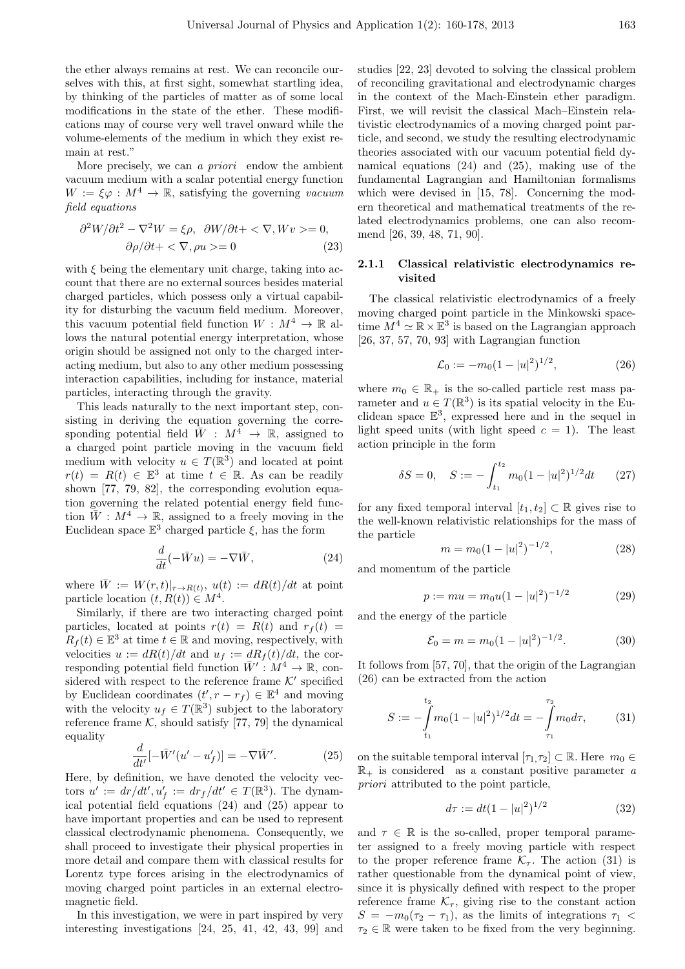the ether always remains at rest. We can reconcile ourselves with this, at first sight, somewhat startling idea, by thinking of the particles of matter as of some local modifications in the state of the ether. These modifications may of course very well travel onward while the volume-elements of the medium in which they exist remain at rest."

More precisely, we can *a priori* endow the ambient vacuum medium with a scalar potential energy function  $W := \xi \varphi : M^4 \to \mathbb{R}$ , satisfying the governing *vacuum field equations*

$$
\frac{\partial^2 W}{\partial t^2} - \nabla^2 W = \xi \rho, \ \ \frac{\partial W}{\partial t} + \langle \ \nabla, Wv \ \rangle = 0, \n\frac{\partial \rho}{\partial t} + \langle \ \nabla, \rho u \ \rangle = 0
$$
\n(23)

with *ξ* being the elementary unit charge, taking into account that there are no external sources besides material charged particles, which possess only a virtual capability for disturbing the vacuum field medium. Moreover, this vacuum potential field function  $W : M^4 \to \mathbb{R}$  allows the natural potential energy interpretation, whose origin should be assigned not only to the charged interacting medium, but also to any other medium possessing interaction capabilities, including for instance, material particles, interacting through the gravity.

This leads naturally to the next important step, consisting in deriving the equation governing the corresponding potential field  $\bar{W}$  :  $M^4 \rightarrow \mathbb{R}$ , assigned to a charged point particle moving in the vacuum field medium with velocity  $u \in T(\mathbb{R}^3)$  and located at point  $r(t) = R(t) \in \mathbb{E}^{3}$  at time  $t \in \mathbb{R}$ . As can be readily shown [77, 79, 82], the corresponding evolution equation governing the related potential energy field function  $\bar{W}: M^4 \to \mathbb{R}$ , assigned to a freely moving in the Euclidean space  $\mathbb{E}^3$  charged particle  $\xi$ , has the form

$$
\frac{d}{dt}(-\bar{W}u) = -\nabla \bar{W},\qquad(24)
$$

where  $\overline{W} := W(r, t)|_{r \to R(t)}, u(t) := dR(t)/dt$  at point particle location  $(t, R(t)) \in M^4$ .

Similarly, if there are two interacting charged point particles, located at points  $r(t) = R(t)$  and  $r_f(t) =$  $R_f(t) \in \mathbb{E}^3$  at time  $t \in \mathbb{R}$  and moving, respectively, with velocities  $u := dR(t)/dt$  and  $u_f := dR_f(t)/dt$ , the corresponding potential field function  $\overline{W}' : M^4 \to \mathbb{R}$ , considered with respect to the reference frame  $K'$  specified by Euclidean coordinates  $(t', r - r_f) \in \mathbb{E}^4$  and moving with the velocity  $u_f \in T(\mathbb{R}^3)$  subject to the laboratory reference frame  $K$ , should satisfy [77, 79] the dynamical equality

$$
\frac{d}{dt'}[-\bar{W}'(u'-u'_f)]=-\nabla\bar{W}'.\tag{25}
$$

Here, by definition, we have denoted the velocity vectors  $u' := dr/dt', u'_{f} := dr_{f}/dt' \in T(\mathbb{R}^{3})$ . The dynamical potential field equations (24) and (25) appear to have important properties and can be used to represent classical electrodynamic phenomena. Consequently, we shall proceed to investigate their physical properties in more detail and compare them with classical results for Lorentz type forces arising in the electrodynamics of moving charged point particles in an external electromagnetic field.

In this investigation, we were in part inspired by very interesting investigations [24, 25, 41, 42, 43, 99] and

studies [22, 23] devoted to solving the classical problem of reconciling gravitational and electrodynamic charges in the context of the Mach-Einstein ether paradigm. First, we will revisit the classical Mach–Einstein relativistic electrodynamics of a moving charged point particle, and second, we study the resulting electrodynamic theories associated with our vacuum potential field dynamical equations (24) and (25), making use of the fundamental Lagrangian and Hamiltonian formalisms which were devised in [15, 78]. Concerning the modern theoretical and mathematical treatments of the related electrodynamics problems, one can also recommend [26, 39, 48, 71, 90].

#### **2.1.1 Classical relativistic electrodynamics revisited**

The classical relativistic electrodynamics of a freely moving charged point particle in the Minkowski spacetime  $M^4 \simeq \mathbb{R} \times \mathbb{E}^3$  is based on the Lagrangian approach [26, 37, 57, 70, 93] with Lagrangian function

$$
\mathcal{L}_0 := -m_0 (1 - |u|^2)^{1/2},\tag{26}
$$

where  $m_0 \in \mathbb{R}_+$  is the so-called particle rest mass parameter and  $u \in T(\mathbb{R}^3)$  is its spatial velocity in the Euclidean space  $\mathbb{E}^3$ , expressed here and in the sequel in light speed units (with light speed  $c = 1$ ). The least action principle in the form

$$
\delta S = 0, \quad S := -\int_{t_1}^{t_2} m_0 (1 - |u|^2)^{1/2} dt \qquad (27)
$$

for any fixed temporal interval  $[t_1, t_2] \subset \mathbb{R}$  gives rise to the well-known relativistic relationships for the mass of the particle

$$
m = m_0 (1 - |u|^2)^{-1/2}, \tag{28}
$$

and momentum of the particle

$$
p := mu = m_0 u (1 - |u|^2)^{-1/2}
$$
 (29)

and the energy of the particle

$$
\mathcal{E}_0 = m = m_0 (1 - |u|^2)^{-1/2}.
$$
 (30)

It follows from [57, 70], that the origin of the Lagrangian (26) can be extracted from the action

$$
S := -\int_{t_1}^{t_2} m_0 (1 - |u|^2)^{1/2} dt = -\int_{\tau_1}^{\tau_2} m_0 d\tau, \tag{31}
$$

on the suitable temporal interval  $[\tau_1, \tau_2] \subset \mathbb{R}$ . Here  $m_0 \in$  $\mathbb{R}_+$  is considered as a constant positive parameter *a priori* attributed to the point particle,

$$
d\tau := dt(1 - |u|^2)^{1/2} \tag{32}
$$

and  $\tau \in \mathbb{R}$  is the so-called, proper temporal parameter assigned to a freely moving particle with respect to the proper reference frame  $\mathcal{K}_{\tau}$ . The action (31) is rather questionable from the dynamical point of view, since it is physically defined with respect to the proper reference frame  $K_{\tau}$ , giving rise to the constant action  $S = -m_0(\tau_2 - \tau_1)$ , as the limits of integrations  $\tau_1$  $\tau_2 \in \mathbb{R}$  were taken to be fixed from the very beginning.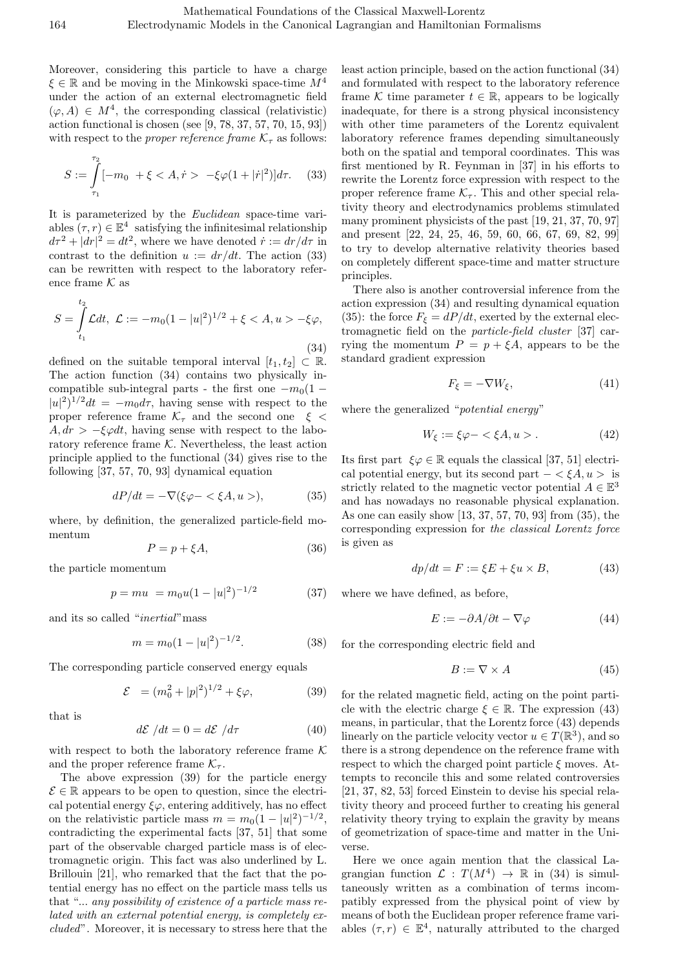Moreover, considering this particle to have a charge *ξ ∈* R and be moving in the Minkowski space-time *M*<sup>4</sup> under the action of an external electromagnetic field  $(\varphi, A) \in M^4$ , the corresponding classical (relativistic) action functional is chosen (see [9, 78, 37, 57, 70, 15, 93]) with respect to the *proper reference frame*  $K_{\tau}$  as follows:

$$
S := \int_{\tau_1}^{\tau_2} [-m_0 + \xi < A, \dot{r} > -\xi \varphi (1 + |\dot{r}|^2)] d\tau. \tag{33}
$$

It is parameterized by the *Euclidean* space-time variables  $(\tau, r) \in \mathbb{E}^4$  satisfying the infinitesimal relationship  $d\tau^2 + |dr|^2 = dt^2$ , where we have denoted  $\dot{r} := dr/d\tau$  in contrast to the definition  $u := dr/dt$ . The action (33) can be rewritten with respect to the laboratory reference frame  ${\mathcal K}$  as

$$
S = \int_{t_1}^{t_2} \mathcal{L}dt, \ \mathcal{L} := -m_0(1 - |u|^2)^{1/2} + \xi < A, u > -\xi\varphi,\tag{34}
$$

defined on the suitable temporal interval  $[t_1, t_2] \subset \mathbb{R}$ . The action function (34) contains two physically incompatible sub-integral parts - the first one  $-m_0(1 |u|^2$ <sup> $\frac{1}{2}$ </sup>*dt* = *−m*<sup>0</sup>*dτ*, having sense with respect to the proper reference frame  $K_{\tau}$  and the second one  $\xi$  $A, dr > -\xi \varphi dt$ , having sense with respect to the laboratory reference frame  $K$ . Nevertheless, the least action principle applied to the functional (34) gives rise to the following [37, 57, 70, 93] dynamical equation

$$
dP/dt = -\nabla(\xi\varphi - \xi A, u >), \tag{35}
$$

where, by definition, the generalized particle-field momentum

$$
P = p + \xi A,\tag{36}
$$

the particle momentum

$$
p = mu = m_0 u (1 - |u|^2)^{-1/2}
$$
 (37)

and its so called "*inertial*"mass

$$
m = m_0 (1 - |u|^2)^{-1/2}.
$$
 (38)

The corresponding particle conserved energy equals

$$
\mathcal{E} = (m_0^2 + |p|^2)^{1/2} + \xi \varphi, \tag{39}
$$

that is

$$
d\mathcal{E}/dt = 0 = d\mathcal{E}/d\tau \tag{40}
$$

with respect to both the laboratory reference frame *K* and the proper reference frame  $K_{\tau}$ .

The above expression (39) for the particle energy  $\mathcal{E} \in \mathbb{R}$  appears to be open to question, since the electrical potential energy  $\xi\varphi$ , entering additively, has no effect on the relativistic particle mass  $m = m_0(1 - |u|^2)^{-1/2}$ , contradicting the experimental facts [37, 51] that some part of the observable charged particle mass is of electromagnetic origin. This fact was also underlined by L. Brillouin [21], who remarked that the fact that the potential energy has no effect on the particle mass tells us that "... *any possibility of existence of a particle mass related with an external potential energy, is completely excluded*". Moreover, it is necessary to stress here that the least action principle, based on the action functional (34) and formulated with respect to the laboratory reference frame *K* time parameter  $t \in \mathbb{R}$ , appears to be logically inadequate, for there is a strong physical inconsistency with other time parameters of the Lorentz equivalent laboratory reference frames depending simultaneously both on the spatial and temporal coordinates. This was first mentioned by R. Feynman in [37] in his efforts to rewrite the Lorentz force expression with respect to the proper reference frame  $K_{\tau}$ . This and other special relativity theory and electrodynamics problems stimulated many prominent physicists of the past [19, 21, 37, 70, 97] and present [22, 24, 25, 46, 59, 60, 66, 67, 69, 82, 99] to try to develop alternative relativity theories based on completely different space-time and matter structure principles.

There also is another controversial inference from the action expression (34) and resulting dynamical equation (35): the force  $F_{\xi} = dP/dt$ , exerted by the external electromagnetic field on the *particle-field cluster* [37] carrying the momentum  $P = p + \xi A$ , appears to be the standard gradient expression

$$
F_{\xi} = -\nabla W_{\xi},\tag{41}
$$

where the generalized "*potential energy*"

$$
W_{\xi} := \xi \varphi - \langle \xi A, u \rangle. \tag{42}
$$

Its first part  $\xi \varphi \in \mathbb{R}$  equals the classical [37, 51] electrical potential energy, but its second part  $-\langle \xi A, u \rangle$  is strictly related to the magnetic vector potential  $A \in \mathbb{E}^3$ and has nowadays no reasonable physical explanation. As one can easily show [13, 37, 57, 70, 93] from (35), the corresponding expression for *the classical Lorentz force* is given as

$$
dp/dt = F := \xi E + \xi u \times B,\tag{43}
$$

where we have defined, as before,

$$
E := -\partial A/\partial t - \nabla \varphi \tag{44}
$$

for the corresponding electric field and

$$
B := \nabla \times A \tag{45}
$$

for the related magnetic field, acting on the point particle with the electric charge  $\xi \in \mathbb{R}$ . The expression (43) means, in particular, that the Lorentz force (43) depends linearly on the particle velocity vector  $u \in T(\mathbb{R}^3)$ , and so there is a strong dependence on the reference frame with respect to which the charged point particle *ξ* moves. Attempts to reconcile this and some related controversies [21, 37, 82, 53] forced Einstein to devise his special relativity theory and proceed further to creating his general relativity theory trying to explain the gravity by means of geometrization of space-time and matter in the Universe.

Here we once again mention that the classical Lagrangian function  $\mathcal{L}: T(M^4) \to \mathbb{R}$  in (34) is simultaneously written as a combination of terms incompatibly expressed from the physical point of view by means of both the Euclidean proper reference frame variables  $(\tau, r) \in \mathbb{E}^4$ , naturally attributed to the charged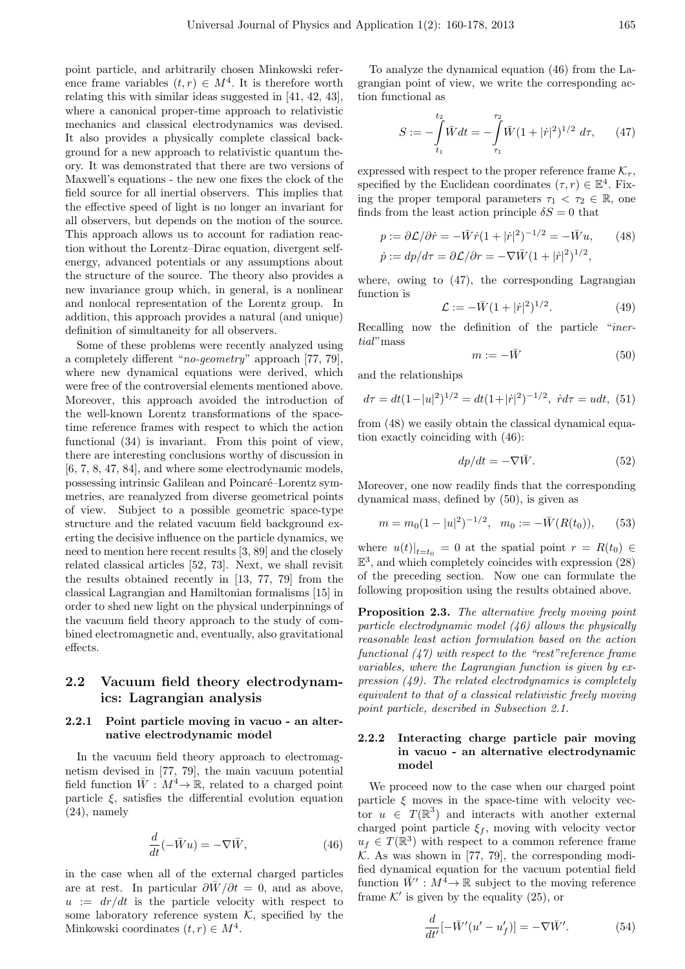point particle, and arbitrarily chosen Minkowski reference frame variables  $(t, r) \in M^4$ . It is therefore worth relating this with similar ideas suggested in [41, 42, 43], where a canonical proper-time approach to relativistic mechanics and classical electrodynamics was devised. It also provides a physically complete classical background for a new approach to relativistic quantum theory. It was demonstrated that there are two versions of Maxwell's equations - the new one fixes the clock of the field source for all inertial observers. This implies that the effective speed of light is no longer an invariant for all observers, but depends on the motion of the source. This approach allows us to account for radiation reaction without the Lorentz–Dirac equation, divergent selfenergy, advanced potentials or any assumptions about the structure of the source. The theory also provides a new invariance group which, in general, is a nonlinear and nonlocal representation of the Lorentz group. In addition, this approach provides a natural (and unique) definition of simultaneity for all observers.

Some of these problems were recently analyzed using a completely different "*no-geometry*" approach [77, 79], where new dynamical equations were derived, which were free of the controversial elements mentioned above. Moreover, this approach avoided the introduction of the well-known Lorentz transformations of the spacetime reference frames with respect to which the action functional (34) is invariant. From this point of view, there are interesting conclusions worthy of discussion in [6, 7, 8, 47, 84], and where some electrodynamic models, possessing intrinsic Galilean and Poincaré–Lorentz symmetries, are reanalyzed from diverse geometrical points of view. Subject to a possible geometric space-type structure and the related vacuum field background exerting the decisive influence on the particle dynamics, we need to mention here recent results [3, 89] and the closely related classical articles [52, 73]. Next, we shall revisit the results obtained recently in [13, 77, 79] from the classical Lagrangian and Hamiltonian formalisms [15] in order to shed new light on the physical underpinnings of the vacuum field theory approach to the study of combined electromagnetic and, eventually, also gravitational effects.

### **2.2 Vacuum field theory electrodynamics: Lagrangian analysis**

#### **2.2.1 Point particle moving in vacuo - an alternative electrodynamic model**

In the vacuum field theory approach to electromagnetism devised in [77, 79], the main vacuum potential field function  $\bar{W}: M^4 \to \mathbb{R}$ , related to a charged point particle  $\xi$ , satisfies the differential evolution equation (24), namely

$$
\frac{d}{dt}(-\bar{W}u) = -\nabla \bar{W},\qquad(46)
$$

in the case when all of the external charged particles are at rest. In particular  $\frac{\partial \bar{W}}{\partial t} = 0$ , and as above,  $u := dr/dt$  is the particle velocity with respect to some laboratory reference system  $K$ , specified by the Minkowski coordinates  $(t, r) \in M^4$ .

To analyze the dynamical equation (46) from the Lagrangian point of view, we write the corresponding action functional as

$$
S := -\int_{t_1}^{t_2} \bar{W} dt = -\int_{\tau_1}^{\tau_2} \bar{W} (1 + |\dot{r}|^2)^{1/2} d\tau, \qquad (47)
$$

expressed with respect to the proper reference frame  $K_{\tau}$ , specified by the Euclidean coordinates  $(\tau, r) \in \mathbb{E}^4$ . Fixing the proper temporal parameters  $\tau_1 < \tau_2 \in \mathbb{R}$ , one finds from the least action principle  $\delta S = 0$  that

$$
p := \frac{\partial \mathcal{L}}{\partial \dot{r}} = -\bar{W}\dot{r}(1+|\dot{r}|^2)^{-1/2} = -\bar{W}u,\qquad(48)
$$
  

$$
\dot{p} := dp/d\tau = \frac{\partial \mathcal{L}}{\partial r} = -\nabla \bar{W}(1+|\dot{r}|^2)^{1/2},
$$

where, owing to (47), the corresponding Lagrangian function is

$$
\mathcal{L} := -\bar{W}(1+|r|^2)^{1/2}.
$$
 (49)

Recalling now the definition of the particle "*inertial*"mass

$$
m := -\bar{W} \tag{50}
$$

and the relationships

$$
d\tau = dt(1-|u|^2)^{1/2} = dt(1+|\dot{r}|^2)^{-1/2}, \ \dot{r}d\tau = u dt, \ (51)
$$

from (48) we easily obtain the classical dynamical equation exactly coinciding with (46):

$$
dp/dt = -\nabla \bar{W}.
$$
 (52)

Moreover, one now readily finds that the corresponding dynamical mass, defined by (50), is given as

$$
m = m_0 (1 - |u|^2)^{-1/2}, \quad m_0 := -\overline{W}(R(t_0)),
$$
 (53)

where  $u(t)|_{t=t_0} = 0$  at the spatial point  $r = R(t_0) \in$  $\mathbb{E}^3$ , and which completely coincides with expression (28) of the preceding section. Now one can formulate the following proposition using the results obtained above.

**Proposition 2.3.** *The alternative freely moving point particle electrodynamic model (46) allows the physically reasonable least action formulation based on the action functional (47) with respect to the "rest"reference frame variables, where the Lagrangian function is given by expression (49). The related electrodynamics is completely equivalent to that of a classical relativistic freely moving point particle, described in Subsection 2.1.*

#### **2.2.2 Interacting charge particle pair moving in vacuo - an alternative electrodynamic model**

We proceed now to the case when our charged point particle  $\xi$  moves in the space-time with velocity vector  $u \in T(\mathbb{R}^3)$  and interacts with another external charged point particle  $\xi_f$ , moving with velocity vector  $u_f \in T(\mathbb{R}^3)$  with respect to a common reference frame  $K$ . As was shown in [77, 79], the corresponding modified dynamical equation for the vacuum potential field function  $\bar{W}'$ :  $M^{\hat{4}} \rightarrow \mathbb{R}$  subject to the moving reference frame  $K'$  is given by the equality  $(25)$ , or

$$
\frac{d}{dt'}[-\bar{W}'(u'-u'_f)]=-\nabla\bar{W}'.\tag{54}
$$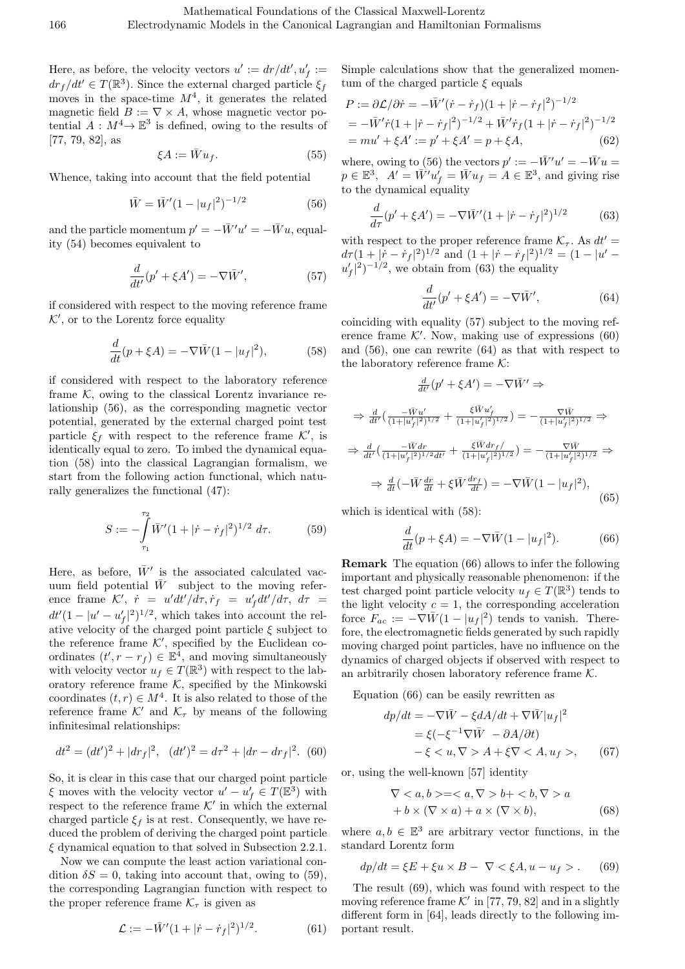Here, as before, the velocity vectors  $u' := dr/dt', u'_{f} :=$  $dr_f/dt' \in T(\mathbb{R}^3)$ . Since the external charged particle  $\xi_f$ moves in the space-time  $M^4$ , it generates the related magnetic field  $B := \nabla \times A$ , whose magnetic vector potential  $A: M^4 \to \mathbb{E}^3$  is defined, owing to the results of [77, 79, 82], as

$$
\xi A := \bar{W} u_f. \tag{55}
$$

Whence, taking into account that the field potential

$$
\bar{W} = \bar{W}' (1 - |u_f|^2)^{-1/2} \tag{56}
$$

and the particle momentum  $p' = -\bar{W}'u' = -\bar{W}u$ , equality (54) becomes equivalent to

$$
\frac{d}{dt'}(p' + \xi A') = -\nabla \bar{W}',\tag{57}
$$

if considered with respect to the moving reference frame *K′ ,* or to the Lorentz force equality

$$
\frac{d}{dt}(p + \xi A) = -\nabla \bar{W}(1 - |u_f|^2),\tag{58}
$$

if considered with respect to the laboratory reference frame  $K$ , owing to the classical Lorentz invariance relationship (56), as the corresponding magnetic vector potential, generated by the external charged point test particle  $\xi_f$  with respect to the reference frame  $K'$ , is identically equal to zero. To imbed the dynamical equation (58) into the classical Lagrangian formalism, we start from the following action functional, which naturally generalizes the functional (47):

$$
S := -\int_{\tau_1}^{\tau_2} \bar{W}' (1 + |\dot{r} - \dot{r}_f|^2)^{1/2} d\tau.
$$
 (59)

Here, as before,  $\bar{W}'$  is the associated calculated vacuum field potential  $\bar{W}$  subject to the moving reference frame  $K'$ ,  $\dot{r} = u'dt'/d\tau, \dot{r}_f = u'_f dt'/d\tau, d\tau =$  $dt'(1 - |u' - u'_{f}|^{2})^{1/2}$ , which takes into account the relative velocity of the charged point particle *ξ* subject to the reference frame  $K'$ , specified by the Euclidean coordinates  $(t', r - r_f) \in \mathbb{E}^4$ , and moving simultaneously with velocity vector  $u_f \in T(\mathbb{R}^3)$  with respect to the laboratory reference frame  $K$ , specified by the Minkowski coordinates  $(t, r) \in M^4$ . It is also related to those of the reference frame  $K'$  and  $K_{\tau}$  by means of the following infinitesimal relationships:

$$
dt^{2} = (dt')^{2} + |dr_{f}|^{2}, \quad (dt')^{2} = d\tau^{2} + |dr - dr_{f}|^{2}. \tag{60}
$$

So, it is clear in this case that our charged point particle *ξ* moves with the velocity vector  $u' - u'_{f} \in T(\mathbb{E}^{3})$  with respect to the reference frame  $K'$  in which the external charged particle  $\xi_f$  is at rest. Consequently, we have reduced the problem of deriving the charged point particle *ξ* dynamical equation to that solved in Subsection 2.2.1.

Now we can compute the least action variational condition  $\delta S = 0$ , taking into account that, owing to (59), the corresponding Lagrangian function with respect to the proper reference frame  $\mathcal{K}_{\tau}$  is given as

$$
\mathcal{L} := -\bar{W}' (1 + |\dot{r} - \dot{r}_f|^2)^{1/2}.
$$
 (61)

Simple calculations show that the generalized momentum of the charged particle *ξ* equals

$$
P := \frac{\partial \mathcal{L}}{\partial \dot{r}} = -\bar{W}'(\dot{r} - \dot{r}_f)(1 + |\dot{r} - \dot{r}_f|^2)^{-1/2}
$$
  
=  $-\bar{W}'\dot{r}(1 + |\dot{r} - \dot{r}_f|^2)^{-1/2} + \bar{W}'\dot{r}_f(1 + |\dot{r} - \dot{r}_f|^2)^{-1/2}$   
=  $mu' + \xi A' := p' + \xi A' = p + \xi A,$  (62)

where, owing to (56) the vectors  $p' := -\overline{W}'u' = -\overline{W}u$  $p \in \mathbb{E}^3$ ,  $A' = \overline{W'} \overline{u'_f} = \overline{W} u_f = A \in \mathbb{E}^3$ , and giving rise to the dynamical equality

$$
\frac{d}{d\tau}(p' + \xi A') = -\nabla \bar{W}' (1 + |\dot{r} - \dot{r}_f|^2)^{1/2}
$$
(63)

with respect to the proper reference frame  $K_{\tau}$ . As  $dt' =$  $d\tau (1 + |\dot{r} - \dot{r}_f|^2)^{1/2}$  and  $(1 + |\dot{r} - \dot{r}_f|^2)^{1/2} = (1 - |u' - \dot{r}_f|^2)^{1/2}$  $u'_{f}$ <sup>2</sup> $)$ <sup>-1/2</sup>, we obtain from (63) the equality

$$
\frac{d}{dt'}(p' + \xi A') = -\nabla \bar{W}',\tag{64}
$$

coinciding with equality (57) subject to the moving reference frame  $K'$ . Now, making use of expressions  $(60)$ and (56), one can rewrite (64) as that with respect to the laboratory reference frame *K*:

$$
\frac{d}{dt'}(p' + \xi A') = -\nabla \bar{W}' \Rightarrow
$$
\n
$$
\Rightarrow \frac{d}{dt'} \left( \frac{-\bar{W}u'}{(1+|u'_f|^2)^{1/2}} + \frac{\xi \bar{W}u'_f}{(1+|u'_f|^2)^{1/2}} \right) = -\frac{\nabla \bar{W}}{(1+|u'_f|^2)^{1/2}} \Rightarrow
$$
\n
$$
\Rightarrow \frac{d}{dt'} \left( \frac{-\bar{W}dr}{(1+|u'_f|^2)^{1/2}dt'} + \frac{\xi \bar{W}dr_f}{(1+|u'_f|^2)^{1/2}} \right) = -\frac{\nabla \bar{W}}{(1+|u'_f|^2)^{1/2}} \Rightarrow
$$
\n
$$
\Rightarrow \frac{d}{dt} \left( -\bar{W}\frac{dr}{dt} + \xi \bar{W}\frac{dr_f}{dt} \right) = -\nabla \bar{W} \left( 1 - |u_f|^2 \right), \tag{65}
$$

which is identical with (58):

$$
\frac{d}{dt}(p + \xi A) = -\nabla \bar{W}(1 - |u_f|^2). \tag{66}
$$

**Remark** The equation (66) allows to infer the following important and physically reasonable phenomenon: if the test charged point particle velocity  $u_f \in T(\mathbb{R}^3)$  tends to the light velocity  $c = 1$ , the corresponding acceleration force  $F_{ac} := -\nabla \bar{W} (1 - |u_f|^2)$  tends to vanish. Therefore, the electromagnetic fields generated by such rapidly moving charged point particles, have no influence on the dynamics of charged objects if observed with respect to an arbitrarily chosen laboratory reference frame *K.*

Equation (66) can be easily rewritten as

$$
dp/dt = -\nabla \bar{W} - \xi dA/dt + \nabla \bar{W} |u_f|^2
$$
  
=  $\xi(-\xi^{-1}\nabla \bar{W} - \partial A/\partial t)$   
-  $\xi < u, \nabla > A + \xi \nabla < A, u_f >,$  (67)

or, using the well-known [57] identity

$$
\nabla  =  b+ a
$$
  
+ 
$$
b \times (\nabla \times a) + a \times (\nabla \times b),
$$
 (68)

where  $a, b \in \mathbb{E}^3$  are arbitrary vector functions, in the standard Lorentz form

$$
dp/dt = \xi E + \xi u \times B - \nabla \langle \xi A, u - u_f \rangle.
$$
 (69)

The result (69), which was found with respect to the moving reference frame  $K'$  in [77, 79, 82] and in a slightly different form in [64], leads directly to the following important result.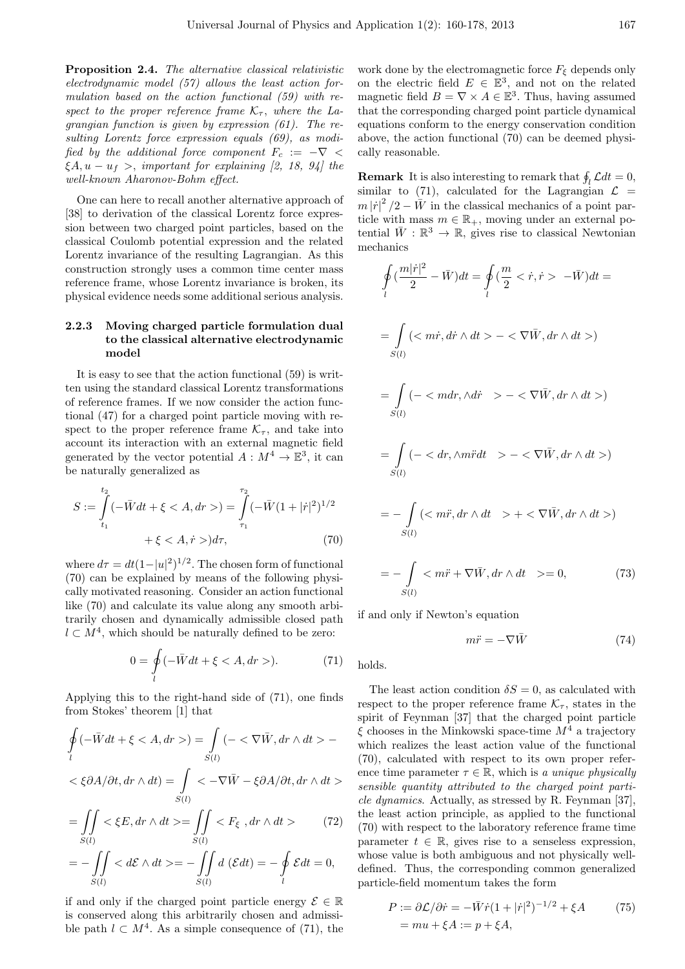**Proposition 2.4.** *The alternative classical relativistic electrodynamic model (57) allows the least action formulation based on the action functional (59) with respect to the proper reference frame*  $K_{\tau}$ , where the La*grangian function is given by expression (61). The resulting Lorentz force expression equals (69), as modified by the additional force component*  $F_c := -\nabla$  < *ξA, u − u<sup>f</sup> >, important for explaining [2, 18, 94] the well-known Aharonov-Bohm effect.*

One can here to recall another alternative approach of [38] to derivation of the classical Lorentz force expression between two charged point particles, based on the classical Coulomb potential expression and the related Lorentz invariance of the resulting Lagrangian. As this construction strongly uses a common time center mass reference frame, whose Lorentz invariance is broken, its physical evidence needs some additional serious analysis.

#### **2.2.3 Moving charged particle formulation dual to the classical alternative electrodynamic model**

It is easy to see that the action functional (59) is written using the standard classical Lorentz transformations of reference frames. If we now consider the action functional (47) for a charged point particle moving with respect to the proper reference frame  $K_{\tau}$ , and take into account its interaction with an external magnetic field generated by the vector potential  $A: M^4 \to \mathbb{E}^3$ , it can be naturally generalized as

$$
S := \int_{t_1}^{t_2} (-\bar{W}dt + \xi < A, dr) = \int_{\tau_1}^{\tau_2} (-\bar{W}(1+|\dot{r}|^2)^{1/2} + \xi < A, \dot{r} > )d\tau,\tag{70}
$$

where  $d\tau = dt(1-|u|^2)^{1/2}$ . The chosen form of functional (70) can be explained by means of the following physically motivated reasoning. Consider an action functional like (70) and calculate its value along any smooth arbitrarily chosen and dynamically admissible closed path *l*  $\subset$  *M*<sup>4</sup>, which should be naturally defined to be zero:

$$
0 = \oint_{l} (-\bar{W}dt + \xi < A, dr >). \tag{71}
$$

Applying this to the right-hand side of (71), one finds from Stokes' theorem [1] that

$$
\oint_{l} \left( -\bar{W}dt + \xi < A, dr \right) = \int_{S(l)} \left( -\left( \nabla \bar{W}, dr \wedge dt \right) \right) -
$$

$$
\langle \xi \partial A/\partial t, dr \wedge dt \rangle = \int\limits_{S(l)} \langle \xi - \nabla \bar{W} - \xi \partial A/\partial t, dr \wedge dt \rangle
$$

$$
=\iint\limits_{S(l)} <\xi E, dr \wedge dt> = \iint\limits_{S(l)}  \tag{72}
$$

$$
= - \iint\limits_{S(l)}  = - \iint\limits_{S(l)} d(\mathcal{E} dt) = - \oint\limits_{l} \mathcal{E} dt = 0,
$$

if and only if the charged point particle energy  $\mathcal{E} \in \mathbb{R}$ is conserved along this arbitrarily chosen and admissible path  $l \subset M^4$ . As a simple consequence of (71), the

work done by the electromagnetic force  $F<sub>ξ</sub>$  depends only on the electric field  $E \in \mathbb{E}^3$ , and not on the related magnetic field  $B = \nabla \times A \in \mathbb{E}^{3}$ . Thus, having assumed that the corresponding charged point particle dynamical equations conform to the energy conservation condition above, the action functional (70) can be deemed physically reasonable.

**Remark** It is also interesting to remark that  $\oint_l \mathcal{L} dt = 0$ , similar to  $(71)$ , calculated for the Lagrangian  $\mathcal{L}$  =  $m |\dot{r}|^2 / 2 - \bar{W}$  in the classical mechanics of a point particle with mass  $m \in \mathbb{R}_+$ , moving under an external potential  $\bar{W}$  :  $\mathbb{R}^3 \to \mathbb{R}$ , gives rise to classical Newtonian mechanics

$$
\oint_{l} \left(\frac{m|\dot{r}|^2}{2} - \bar{W}\right)dt = \oint_{l} \left(\frac{m}{2} < \dot{r}, \dot{r} > -\bar{W}\right)dt =
$$
\n
$$
= \int_{S(l)} \left(< m\dot{r}, \dot{dr} \wedge dt > - < \nabla \bar{W}, \dot{dr} \wedge dt >\right)
$$
\n
$$
= \int_{S(l)} \left(- < m\dot{dr}, \wedge d\dot{r} > - < \nabla \bar{W}, dr \wedge dt >\right)
$$
\n
$$
= \int_{S(l)} \left(- < d\dot{r}, \wedge m\ddot{r}dt > - < \nabla \bar{W}, dr \wedge dt >\right)
$$
\n
$$
= -\int_{S(l)} \left(< m\ddot{r}, dr \wedge dt > + < \nabla \bar{W}, dr \wedge dt >\right)
$$

$$
=-\int_{S(l)}  = 0,
$$
 (73)

if and only if Newton's equation

$$
m\ddot{r} = -\nabla \bar{W} \tag{74}
$$

holds.

The least action condition  $\delta S = 0$ , as calculated with respect to the proper reference frame  $K_{\tau}$ , states in the spirit of Feynman [37] that the charged point particle *ξ* chooses in the Minkowski space-time *M*<sup>4</sup> a trajectory which realizes the least action value of the functional (70), calculated with respect to its own proper reference time parameter  $\tau \in \mathbb{R}$ , which is *a unique physically sensible quantity attributed to the charged point particle dynamics*. Actually, as stressed by R. Feynman [37], the least action principle, as applied to the functional (70) with respect to the laboratory reference frame time parameter  $t \in \mathbb{R}$ , gives rise to a senseless expression, whose value is both ambiguous and not physically welldefined. Thus, the corresponding common generalized particle-field momentum takes the form

$$
P := \frac{\partial \mathcal{L}}{\partial \dot{r}} = -\bar{W}\dot{r}(1+|\dot{r}|^2)^{-1/2} + \xi A \tag{75}
$$
  
=  $mu + \xi A := p + \xi A$ ,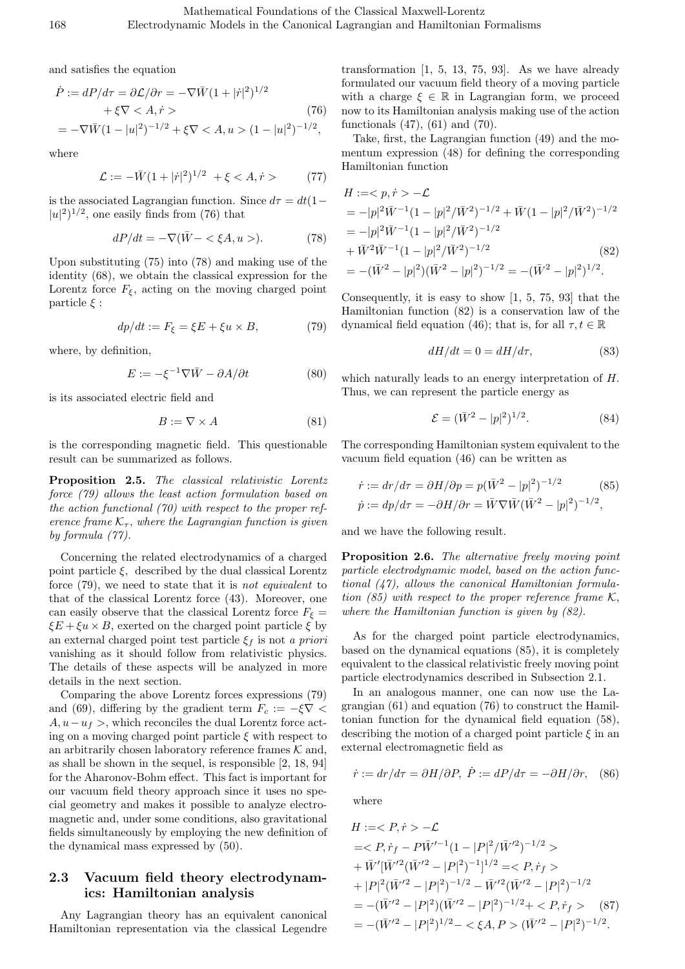and satisfies the equation

$$
\dot{P} := dP/d\tau = \partial \mathcal{L}/\partial r = -\nabla \bar{W} (1 + |\dot{r}|^2)^{1/2} \n+ \xi \nabla < A, \dot{r} > \tag{76} \n= -\nabla \bar{W} (1 - |u|^2)^{-1/2} + \xi \nabla < A, u > (1 - |u|^2)^{-1/2},
$$

where

$$
\mathcal{L} := -\bar{W}(1+|\dot{r}|^2)^{1/2} + \xi < A, \dot{r} > \tag{77}
$$

is the associated Lagrangian function. Since  $d\tau = dt(1 - \tau)$  $|u|^2$ <sup> $1/2$ </sup>, one easily finds from (76) that

$$
dP/dt = -\nabla(\bar{W} - \langle \xi A, u \rangle). \tag{78}
$$

Upon substituting (75) into (78) and making use of the identity (68), we obtain the classical expression for the Lorentz force  $F_{\xi}$ , acting on the moving charged point particle *ξ* :

$$
dp/dt := F_{\xi} = \xi E + \xi u \times B,\tag{79}
$$

where, by definition,

$$
E := -\xi^{-1}\nabla \bar{W} - \partial A/\partial t \tag{80}
$$

is its associated electric field and

$$
B := \nabla \times A \tag{81}
$$

is the corresponding magnetic field. This questionable result can be summarized as follows.

**Proposition 2.5.** *The classical relativistic Lorentz force (79) allows the least action formulation based on the action functional (70) with respect to the proper reference frame*  $K_{\tau}$ *, where the Lagrangian function is given by formula (77).*

Concerning the related electrodynamics of a charged point particle  $\xi$ , described by the dual classical Lorentz force (79), we need to state that it is *not equivalent* to that of the classical Lorentz force (43). Moreover, one can easily observe that the classical Lorentz force  $F<sub>ξ</sub>$  =  $\xi E + \xi u \times B$ , exerted on the charged point particle  $\xi$  by an external charged point test particle *ξ<sup>f</sup>* is not *a priori* vanishing as it should follow from relativistic physics. The details of these aspects will be analyzed in more details in the next section.

Comparing the above Lorentz forces expressions (79) and (69), differing by the gradient term  $F_c := -\xi \nabla$  < *A, u*−*u*<sup>*f*</sup> >, which reconciles the dual Lorentz force acting on a moving charged point particle  $\xi$  with respect to an arbitrarily chosen laboratory reference frames  $K$  and, as shall be shown in the sequel, is responsible [2, 18, 94] for the Aharonov-Bohm effect. This fact is important for our vacuum field theory approach since it uses no special geometry and makes it possible to analyze electromagnetic and, under some conditions, also gravitational fields simultaneously by employing the new definition of the dynamical mass expressed by (50).

# **2.3 Vacuum field theory electrodynamics: Hamiltonian analysis**

Any Lagrangian theory has an equivalent canonical Hamiltonian representation via the classical Legendre transformation  $[1, 5, 13, 75, 93]$ . As we have already formulated our vacuum field theory of a moving particle with a charge  $\xi \in \mathbb{R}$  in Lagrangian form, we proceed now to its Hamiltonian analysis making use of the action functionals (47), (61) and (70).

Take, first, the Lagrangian function (49) and the momentum expression (48) for defining the corresponding Hamiltonian function

$$
H :=  -\mathcal{L}
$$
  
=  $-|p|^2 \bar{W}^{-1} (1 - |p|^2 / \bar{W}^2)^{-1/2} + \bar{W} (1 - |p|^2 / \bar{W}^2)^{-1/2}$   
=  $-|p|^2 \bar{W}^{-1} (1 - |p|^2 / \bar{W}^2)^{-1/2}$   
+  $\bar{W}^2 \bar{W}^{-1} (1 - |p|^2 / \bar{W}^2)^{-1/2}$  (82)  
=  $-(\bar{W}^2 - |p|^2) (\bar{W}^2 - |p|^2)^{-1/2} = -(\bar{W}^2 - |p|^2)^{1/2}.$ 

Consequently, it is easy to show [1, 5, 75, 93] that the Hamiltonian function (82) is a conservation law of the dynamical field equation (46); that is, for all  $\tau, t \in \mathbb{R}$ 

$$
dH/dt = 0 = dH/d\tau,\t\t(83)
$$

which naturally leads to an energy interpretation of *H.* Thus, we can represent the particle energy as

$$
\mathcal{E} = (\bar{W}^2 - |p|^2)^{1/2}.
$$
 (84)

The corresponding Hamiltonian system equivalent to the vacuum field equation (46) can be written as

$$
\dot{r} := dr/d\tau = \partial H/\partial p = p(\bar{W}^2 - |p|^2)^{-1/2} \qquad (85)
$$
  

$$
\dot{p} := dp/d\tau = -\partial H/\partial r = \bar{W}\nabla \bar{W}(\bar{W}^2 - |p|^2)^{-1/2},
$$

and we have the following result.

**Proposition 2.6.** *The alternative freely moving point particle electrodynamic model, based on the action functional (47), allows the canonical Hamiltonian formulation (85) with respect to the proper reference frame*  $K$ , *where the Hamiltonian function is given by (82).*

As for the charged point particle electrodynamics, based on the dynamical equations (85), it is completely equivalent to the classical relativistic freely moving point particle electrodynamics described in Subsection 2.1.

In an analogous manner, one can now use the Lagrangian (61) and equation (76) to construct the Hamiltonian function for the dynamical field equation (58), describing the motion of a charged point particle *ξ* in an external electromagnetic field as

$$
\dot{r} := dr/d\tau = \partial H/\partial P, \ \dot{P} := dP/d\tau = -\partial H/\partial r, \quad (86)
$$

where

$$
H := < P, \dot{r} > -\mathcal{L}
$$
  
=  $\langle P, \dot{r}_f - P\bar{W}'^{-1}(1 - |P|^2/\bar{W}'^2)^{-1/2} \rangle$   
+  $\bar{W}'[\bar{W}'^2(\bar{W}'^2 - |P|^2)^{-1}]^{1/2} =  $\langle P, \dot{r}_f \rangle$   
+  $|P|^2(\bar{W}'^2 - |P|^2)^{-1/2} - \bar{W}'^2(\bar{W}'^2 - |P|^2)^{-1/2}$   
=  $-(\bar{W}'^2 - |P|^2)(\bar{W}'^2 - |P|^2)^{-1/2} +  $\langle P, \dot{r}_f \rangle$  (87)  
=  $-(\bar{W}'^2 - |P|^2)^{1/2} -  $\xi A, P > (\bar{W}'^2 - |P|^2)^{-1/2}.$$$$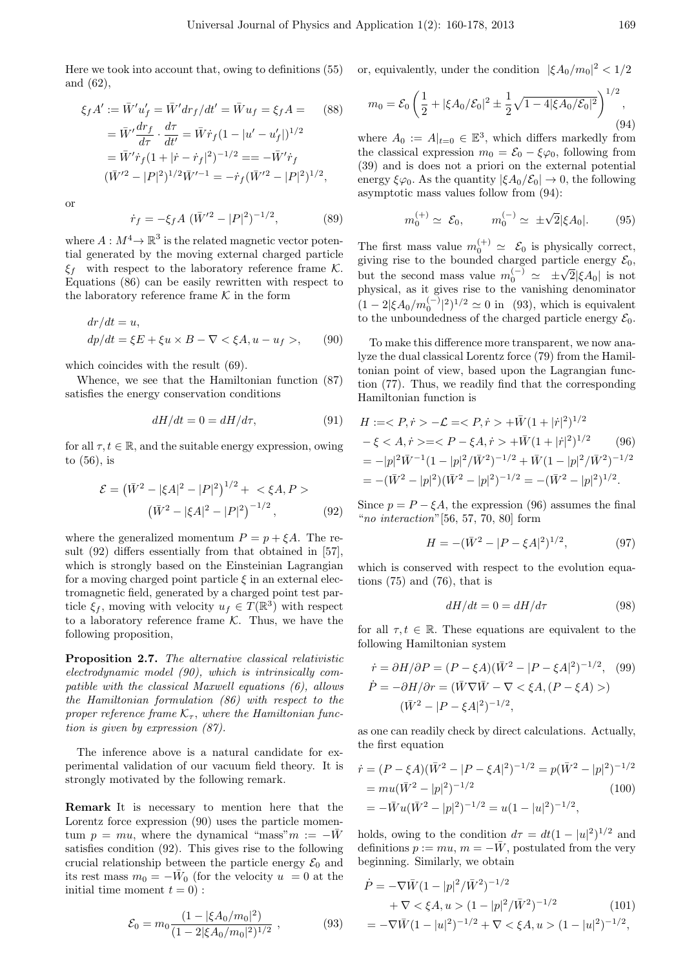Here we took into account that, owing to definitions (55) and (62),

$$
\xi_f A' := \bar{W}' u'_f = \bar{W}' dr_f/dt' = \bar{W} u_f = \xi_f A = (88)
$$
  
=  $\bar{W}' \frac{dr_f}{d\tau} \cdot \frac{d\tau}{dt'} = \bar{W} \dot{r}_f (1 - |u' - u'_f|)^{1/2}$   
=  $\bar{W}' \dot{r}_f (1 + |\dot{r} - \dot{r}_f|^2)^{-1/2} = -\bar{W}' \dot{r}_f$   
 $(\bar{W}'^2 - |P|^2)^{1/2} \bar{W}'^{-1} = -\dot{r}_f (\bar{W}'^2 - |P|^2)^{1/2},$ 

or

$$
\dot{r}_f = -\xi_f A \ (\bar{W}'^2 - |P|^2)^{-1/2},\tag{89}
$$

where  $A: M^4 \to \mathbb{R}^3$  is the related magnetic vector potential generated by the moving external charged particle *ξ<sup>f</sup>* with respect to the laboratory reference frame *K*. Equations (86) can be easily rewritten with respect to the laboratory reference frame  $K$  in the form

$$
dr/dt = u,
$$
  
\n
$$
dp/dt = \xi E + \xi u \times B - \nabla < \xi A, u - u_f >, \qquad (90)
$$

which coincides with the result (69).

Whence, we see that the Hamiltonian function (87) satisfies the energy conservation conditions

$$
dH/dt = 0 = dH/d\tau, \tag{91}
$$

for all  $\tau, t \in \mathbb{R}$ , and the suitable energy expression, owing to (56), is

$$
\mathcal{E} = (\bar{W}^2 - |\xi A|^2 - |P|^2)^{1/2} + \langle \xi A, P \rangle
$$

$$
(\bar{W}^2 - |\xi A|^2 - |P|^2)^{-1/2}, \qquad (92)
$$

where the generalized momentum  $P = p + \xi A$ . The result (92) differs essentially from that obtained in [57], which is strongly based on the Einsteinian Lagrangian for a moving charged point particle  $\xi$  in an external electromagnetic field, generated by a charged point test particle  $\xi_f$ , moving with velocity  $u_f \in T(\mathbb{R}^3)$  with respect to a laboratory reference frame *K*. Thus, we have the following proposition,

**Proposition 2.7.** *The alternative classical relativistic electrodynamic model (90), which is intrinsically compatible with the classical Maxwell equations (6), allows the Hamiltonian formulation (86) with respect to the proper reference frame*  $K_{\tau}$ , where the Hamiltonian func*tion is given by expression (87).*

The inference above is a natural candidate for experimental validation of our vacuum field theory. It is strongly motivated by the following remark.

**Remark** It is necessary to mention here that the Lorentz force expression  $(90)$  uses the particle momentum  $p = mu$ , where the dynamical "mass" $m := -\bar{W}$ satisfies condition (92). This gives rise to the following crucial relationship between the particle energy  $\mathcal{E}_0$  and its rest mass  $m_0 = -\bar{W}_0$  (for the velocity  $u = 0$  at the initial time moment  $t = 0$ :

$$
\mathcal{E}_0 = m_0 \frac{(1 - |\xi A_0/m_0|^2)}{(1 - 2|\xi A_0/m_0|^2)^{1/2}} , \qquad (93)
$$

or, equivalently, under the condition  $|\xi A_0/m_0|^2 < 1/2$ 

$$
m_0 = \mathcal{E}_0 \left( \frac{1}{2} + |\xi A_0 / \mathcal{E}_0|^2 \pm \frac{1}{2} \sqrt{1 - 4|\xi A_0 / \mathcal{E}_0|^2} \right)^{1/2},\tag{94}
$$

where  $A_0 := A|_{t=0} \in \mathbb{E}^3$ , which differs markedly from the classical expression  $m_0 = \mathcal{E}_0 - \xi \varphi_0$ , following from (39) and is does not a priori on the external potential energy  $\xi \varphi_0$ . As the quantity  $|\xi A_0/\mathcal{E}_0| \to 0$ , the following asymptotic mass values follow from (94):

$$
m_0^{(+)} \simeq \mathcal{E}_0, \qquad m_0^{(-)} \simeq \pm \sqrt{2} |\xi A_0|.
$$
 (95)

The first mass value  $m_0^{(+)} \simeq \mathcal{E}_0$  is physically correct, giving rise to the bounded charged particle energy  $\mathcal{E}_0$ , but the second mass value  $m_0^{(-)} \approx \pm \sqrt{2} |\xi A_0|$  is not physical, as it gives rise to the vanishing denominator  $(1 - 2|\xi A_0/m_0^{(-)}|^2)^{1/2} \simeq 0$  in (93), which is equivalent to the unboundedness of the charged particle energy  $\mathcal{E}_0$ .

To make this difference more transparent, we now analyze the dual classical Lorentz force (79) from the Hamiltonian point of view, based upon the Lagrangian function (77). Thus, we readily find that the corresponding Hamiltonian function is

$$
H :=  -\mathcal{L} =  +\bar{W}(1+|\dot{r}|^2)^{1/2}
$$
  
\n
$$
-\xi < A, \dot{r} > =  +\bar{W}(1+|\dot{r}|^2)^{1/2}
$$
 (96)  
\n
$$
= -|p|^2 \bar{W}^{-1} (1-|p|^2/\bar{W}^2)^{-1/2} + \bar{W}(1-|p|^2/\bar{W}^2)^{-1/2}
$$
  
\n
$$
= -(\bar{W}^2 - |p|^2)(\bar{W}^2 - |p|^2)^{-1/2} = -(\bar{W}^2 - |p|^2)^{1/2}.
$$

Since  $p = P - \xi A$ , the expression (96) assumes the final "*no interaction*"[56, 57, 70, 80] form

$$
H = -(\bar{W}^2 - |P - \xi A|^2)^{1/2},\tag{97}
$$

1*/*2

which is conserved with respect to the evolution equations (75) and (76), that is

$$
dH/dt = 0 = dH/d\tau \tag{98}
$$

for all  $\tau, t \in \mathbb{R}$ . These equations are equivalent to the following Hamiltonian system

$$
\dot{r} = \partial H/\partial P = (P - \xi A)(\bar{W}^2 - |P - \xi A|^2)^{-1/2}, \quad (99)
$$

$$
\dot{P} = -\partial H/\partial r = (\bar{W}\nabla \bar{W} - \nabla < \xi A, (P - \xi A) > )
$$

$$
(\bar{W}^2 - |P - \xi A|^2)^{-1/2},
$$

as one can readily check by direct calculations. Actually, the first equation

$$
\begin{aligned} \dot{r} &= (P - \xi A)(\bar{W}^2 - |P - \xi A|^2)^{-1/2} = p(\bar{W}^2 - |p|^2)^{-1/2} \\ &= m u(\bar{W}^2 - |p|^2)^{-1/2} \end{aligned} \tag{100}
$$
\n
$$
= -\bar{W}u(\bar{W}^2 - |p|^2)^{-1/2} = u(1 - |u|^2)^{-1/2},
$$

holds, owing to the condition  $d\tau = dt(1 - |u|^2)^{1/2}$  and definitions  $p := mu$ ,  $m = -\bar{W}$ , postulated from the very beginning. Similarly, we obtain

$$
\dot{P} = -\nabla \bar{W} (1 - |p|^2 / \bar{W}^2)^{-1/2} \n+ \nabla < \xi A, u > (1 - |p|^2 / \bar{W}^2)^{-1/2}
$$
\n(101)\n
$$
= -\nabla \bar{W} (1 - |u|^2)^{-1/2} + \nabla < \xi A, u > (1 - |u|^2)^{-1/2},
$$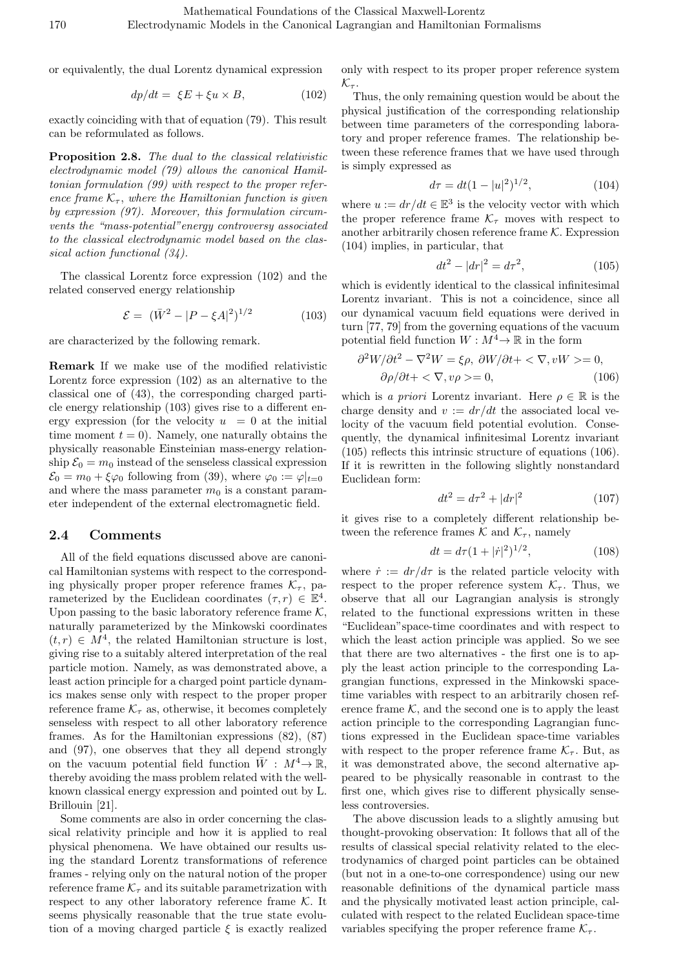or equivalently, the dual Lorentz dynamical expression

$$
dp/dt = \xi E + \xi u \times B, \qquad (102)
$$

exactly coinciding with that of equation (79). This result can be reformulated as follows.

**Proposition 2.8.** *The dual to the classical relativistic electrodynamic model (79) allows the canonical Hamiltonian formulation (99) with respect to the proper reference frame*  $K_{\tau}$ *, where the Hamiltonian function is given by expression (97). Moreover, this formulation circumvents the "mass-potential"energy controversy associated to the classical electrodynamic model based on the classical action functional (34).*

The classical Lorentz force expression (102) and the related conserved energy relationship

$$
\mathcal{E} = (\bar{W}^2 - |P - \xi A|^2)^{1/2} \tag{103}
$$

are characterized by the following remark.

**Remark** If we make use of the modified relativistic Lorentz force expression (102) as an alternative to the classical one of (43), the corresponding charged particle energy relationship (103) gives rise to a different energy expression (for the velocity  $u = 0$  at the initial time moment  $t = 0$ ). Namely, one naturally obtains the physically reasonable Einsteinian mass-energy relationship  $\mathcal{E}_0 = m_0$  instead of the senseless classical expression  $\mathcal{E}_0 = m_0 + \xi \varphi_0$  following from (39), where  $\varphi_0 := \varphi|_{t=0}$ and where the mass parameter  $m_0$  is a constant parameter independent of the external electromagnetic field.

#### **2.4 Comments**

All of the field equations discussed above are canonical Hamiltonian systems with respect to the corresponding physically proper proper reference frames  $K_{\tau}$ , parameterized by the Euclidean coordinates  $(\tau, r) \in \mathbb{E}^4$ . Upon passing to the basic laboratory reference frame *K,* naturally parameterized by the Minkowski coordinates  $(t, r) \in M<sup>4</sup>$ , the related Hamiltonian structure is lost, giving rise to a suitably altered interpretation of the real particle motion. Namely, as was demonstrated above, a least action principle for a charged point particle dynamics makes sense only with respect to the proper proper reference frame  $\mathcal{K}_{\tau}$  as, otherwise, it becomes completely senseless with respect to all other laboratory reference frames. As for the Hamiltonian expressions (82), (87) and (97), one observes that they all depend strongly on the vacuum potential field function  $\bar{W}$  :  $M^4 \rightarrow \mathbb{R}$ , thereby avoiding the mass problem related with the wellknown classical energy expression and pointed out by L. Brillouin [21].

Some comments are also in order concerning the classical relativity principle and how it is applied to real physical phenomena. We have obtained our results using the standard Lorentz transformations of reference frames - relying only on the natural notion of the proper reference frame  $K_{\tau}$  and its suitable parametrization with respect to any other laboratory reference frame *K.* It seems physically reasonable that the true state evolution of a moving charged particle *ξ* is exactly realized

only with respect to its proper proper reference system  $\mathcal{K}_{\tau}$ *.* 

Thus, the only remaining question would be about the physical justification of the corresponding relationship between time parameters of the corresponding laboratory and proper reference frames. The relationship between these reference frames that we have used through is simply expressed as

$$
d\tau = dt(1 - |u|^2)^{1/2},\tag{104}
$$

where  $u := dr/dt \in \mathbb{E}^3$  is the velocity vector with which the proper reference frame  $K_{\tau}$  moves with respect to another arbitrarily chosen reference frame *K.* Expression (104) implies, in particular, that

$$
dt^2 - |dr|^2 = d\tau^2,\t(105)
$$

which is evidently identical to the classical infinitesimal Lorentz invariant. This is not a coincidence, since all our dynamical vacuum field equations were derived in turn [77, 79] from the governing equations of the vacuum potential field function  $W : M^4 \to \mathbb{R}$  in the form

$$
\frac{\partial^2 W}{\partial t^2} - \nabla^2 W = \xi \rho, \ \frac{\partial W}{\partial t} + \langle \nabla, vW \rangle = 0, \n\frac{\partial \rho}{\partial t} + \langle \nabla, v \rho \rangle = 0, \tag{106}
$$

which is *a priori* Lorentz invariant. Here  $\rho \in \mathbb{R}$  is the charge density and  $v := dr/dt$  the associated local velocity of the vacuum field potential evolution. Consequently, the dynamical infinitesimal Lorentz invariant (105) reflects this intrinsic structure of equations (106). If it is rewritten in the following slightly nonstandard Euclidean form:

$$
dt^2 = d\tau^2 + |dr|^2 \tag{107}
$$

it gives rise to a completely different relationship between the reference frames  $K$  and  $K_{\tau}$ , namely

$$
dt = d\tau (1 + |\dot{r}|^2)^{1/2}, \tag{108}
$$

where  $\dot{r} := dr/d\tau$  is the related particle velocity with respect to the proper reference system  $\mathcal{K}_{\tau}$ . Thus, we observe that all our Lagrangian analysis is strongly related to the functional expressions written in these "Euclidean"space-time coordinates and with respect to which the least action principle was applied. So we see that there are two alternatives - the first one is to apply the least action principle to the corresponding Lagrangian functions, expressed in the Minkowski spacetime variables with respect to an arbitrarily chosen reference frame  $K$ , and the second one is to apply the least action principle to the corresponding Lagrangian functions expressed in the Euclidean space-time variables with respect to the proper reference frame  $K_{\tau}$ . But, as it was demonstrated above, the second alternative appeared to be physically reasonable in contrast to the first one, which gives rise to different physically senseless controversies.

The above discussion leads to a slightly amusing but thought-provoking observation: It follows that all of the results of classical special relativity related to the electrodynamics of charged point particles can be obtained (but not in a one-to-one correspondence) using our new reasonable definitions of the dynamical particle mass and the physically motivated least action principle, calculated with respect to the related Euclidean space-time variables specifying the proper reference frame  $K_{\tau}$ .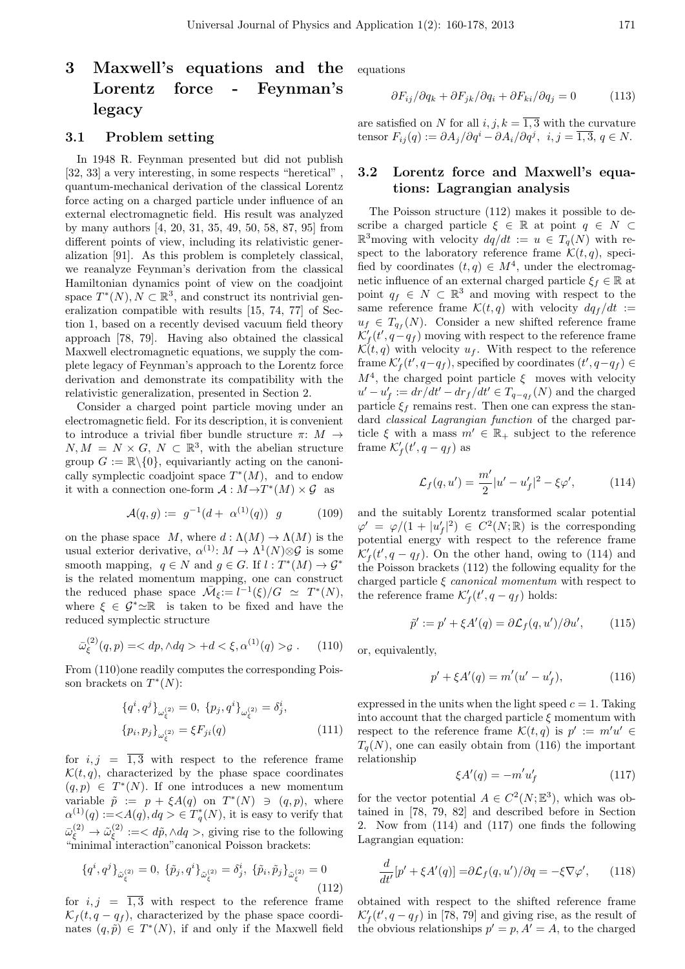# **3 Maxwell's equations and the Lorentz force - Feynman's legacy**

#### **3.1 Problem setting**

In 1948 R. Feynman presented but did not publish [32, 33] a very interesting, in some respects "heretical" , quantum-mechanical derivation of the classical Lorentz force acting on a charged particle under influence of an external electromagnetic field. His result was analyzed by many authors [4, 20, 31, 35, 49, 50, 58, 87, 95] from different points of view, including its relativistic generalization [91]. As this problem is completely classical, we reanalyze Feynman's derivation from the classical Hamiltonian dynamics point of view on the coadjoint space  $T^*(N)$ ,  $N \subset \mathbb{R}^3$ , and construct its nontrivial generalization compatible with results [15, 74, 77] of Section 1, based on a recently devised vacuum field theory approach [78, 79]. Having also obtained the classical Maxwell electromagnetic equations, we supply the complete legacy of Feynman's approach to the Lorentz force derivation and demonstrate its compatibility with the relativistic generalization, presented in Section 2.

Consider a charged point particle moving under an electromagnetic field. For its description, it is convenient to introduce a trivial fiber bundle structure *π*: *M →*  $N, M = N \times G, N \subset \mathbb{R}^3$ , with the abelian structure group  $G := \mathbb{R} \setminus \{0\}$ , equivariantly acting on the canonically symplectic coadjoint space  $T^*(M)$ , and to endow it with a connection one-form  $A: M \rightarrow T^*(M) \times \mathcal{G}$  as

$$
\mathcal{A}(q,g) := g^{-1}(d + \alpha^{(1)}(q)) \ g \tag{109}
$$

on the phase space *M*, where  $d : \Lambda(M) \to \Lambda(M)$  is the usual exterior derivative,  $\alpha^{(1)}: M \to \Lambda^1(N) \otimes \mathcal{G}$  is some smooth mapping,  $q \in N$  and  $g \in G$ . If  $l : T^*(M) \to \mathcal{G}^*$ is the related momentum mapping, one can construct the reduced phase space  $\overline{\mathcal{M}}_{\xi} := l^{-1}(\xi)/G \simeq T^*(N)$ , where  $\xi \in \mathcal{G}^* \simeq \mathbb{R}$  is taken to be fixed and have the reduced symplectic structure

$$
\bar{\omega}_{\xi}^{(2)}(q,p) = \langle dp, \wedge dq > +d < \xi, \alpha^{(1)}(q) > g. \quad (110)
$$

From (110)one readily computes the corresponding Poisson brackets on *T ∗* (*N*):

$$
\{q^{i}, q^{j}\}_{\omega_{\xi}^{(2)}} = 0, \{p_{j}, q^{i}\}_{\omega_{\xi}^{(2)}} = \delta_{j}^{i},
$$

$$
\{p_{i}, p_{j}\}_{\omega_{\xi}^{(2)}} = \xi F_{ji}(q)
$$
(111)

for  $i, j = \overline{1,3}$  with respect to the reference frame  $\mathcal{K}(t, q)$ , characterized by the phase space coordinates  $(q, p) \in T^*(N)$ . If one introduces a new momentum variable  $\tilde{p} := p + \xi A(q)$  on  $T^*(N) \ni (q, p)$ , where  $\alpha^{(1)}(q) :=  \in T^*_q(N)$ , it is easy to verify that  $\bar{\omega}_\xi^{(2)} \rightarrow \tilde{\omega}_\xi^{(2)}$  $\tilde{\mathcal{L}}_{\xi}^{(2)} := \langle d\tilde{p}, \wedge dq \rangle$ , giving rise to the following "minimal interaction" canonical Poisson brackets:

$$
\{q^{i},q^{j}\}_{\tilde{\omega}_{\xi}^{(2)}}=0, \ \{\tilde{p}_{j},q^{i}\}_{\tilde{\omega}_{\xi}^{(2)}}=\delta_{j}^{i}, \ \{\tilde{p}_{i},\tilde{p}_{j}\}_{\tilde{\omega}_{\xi}^{(2)}}=0
$$
\n(112)

for  $i, j = \overline{1,3}$  with respect to the reference frame  $\mathcal{K}_f(t, q - q_f)$ , characterized by the phase space coordinates  $(q, \tilde{p}) \in T^*(N)$ , if and only if the Maxwell field

equations

$$
\partial F_{ij}/\partial q_k + \partial F_{jk}/\partial q_i + \partial F_{ki}/\partial q_j = 0 \tag{113}
$$

are satisfied on *N* for all  $i, j, k = \overline{1,3}$  with the curvature tensor  $F_{ij}(q) := \partial A_j / \partial q^i - \partial A_i / \partial q^j$ ,  $i, j = \overline{1, 3}, q \in N$ .

### **3.2 Lorentz force and Maxwell's equations: Lagrangian analysis**

The Poisson structure (112) makes it possible to describe a charged particle  $\xi \in \mathbb{R}$  at point  $q \in N$  $\mathbb{R}^3$  moving with velocity  $dq/dt := u \in T_q(N)$  with respect to the laboratory reference frame  $\mathcal{K}(t, q)$ , specified by coordinates  $(t, q) \in M^4$ , under the electromagnetic influence of an external charged particle  $\xi_f \in \mathbb{R}$  at point  $q_f \in N \subset \mathbb{R}^3$  and moving with respect to the same reference frame  $\mathcal{K}(t,q)$  with velocity  $dq_f/dt$  :=  $u_f \in T_{q_f}(N)$ . Consider a new shifted reference frame  $\mathcal{K}'_f(t', q - q_f)$  moving with respect to the reference frame  $\mathcal{K}(t,q)$  with velocity  $u_f$ . With respect to the reference frame  $\mathcal{K}'_f(t', q - q_f)$ , specified by coordinates  $(t', q - q_f) \in$  $M<sup>4</sup>$ , the charged point particle  $\xi$  moves with velocity  $u' - u'_{f} := dr/dt' - dr_{f}/dt' \in T_{q-q_{f}}(N)$  and the charged particle  $\xi$ <sup>*f*</sup> remains rest. Then one can express the standard *classical Lagrangian function* of the charged particle  $\xi$  with a mass  $m' \in \mathbb{R}_+$  subject to the reference frame  $\mathcal{K}'_f(t', q - q_f)$  as

$$
\mathcal{L}_f(q, u') = \frac{m'}{2}|u' - u'_f|^2 - \xi \varphi', \tag{114}
$$

and the suitably Lorentz transformed scalar potential  $\varphi' = \varphi/(1 + |u'_{f}|^2) \in C^2(N; \mathbb{R})$  is the corresponding potential energy with respect to the reference frame  $\mathcal{K}'_f(t', q - q_f)$ . On the other hand, owing to (114) and the Poisson brackets (112) the following equality for the charged particle *ξ canonical momentum* with respect to the reference frame  $\mathcal{K}'_f(t', q - q_f)$  holds:

$$
\tilde{p}' := p' + \xi A'(q) = \partial \mathcal{L}_f(q, u') / \partial u', \qquad (115)
$$

or, equivalently,

$$
p' + \xi A'(q) = m'(u' - u'_f), \tag{116}
$$

expressed in the units when the light speed  $c = 1$ . Taking into account that the charged particle  $\xi$  momentum with respect to the reference frame  $\mathcal{K}(t,q)$  is  $p' := m'u' \in$  $T_q(N)$ , one can easily obtain from (116) the important relationship

$$
\xi A'(q) = -m'u'_f \tag{117}
$$

for the vector potential  $A \in C^2(N; \mathbb{E}^3)$ , which was obtained in [78, 79, 82] and described before in Section 2. Now from (114) and (117) one finds the following Lagrangian equation:

$$
\frac{d}{dt'}[p' + \xi A'(q)] = \partial \mathcal{L}_f(q, u')/\partial q = -\xi \nabla \varphi', \qquad (118)
$$

obtained with respect to the shifted reference frame  $\mathcal{K}'_f(t', q - q_f)$  in [78, 79] and giving rise, as the result of the obvious relationships  $p' = p$ ,  $A' = A$ , to the charged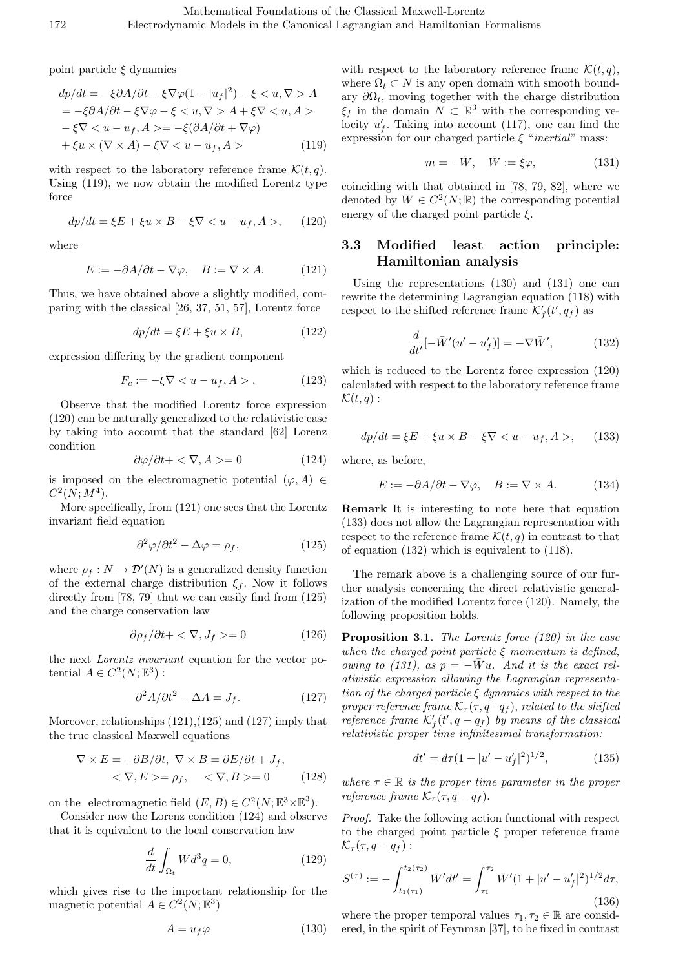point particle *ξ* dynamics

$$
dp/dt = -\xi \partial A/\partial t - \xi \nabla \varphi (1 - |u_f|^2) - \xi < u, \nabla > A
$$
\n
$$
= -\xi \partial A/\partial t - \xi \nabla \varphi - \xi < u, \nabla > A + \xi \nabla < u, A > -\xi \nabla < u - u_f, A > = -\xi (\partial A/\partial t + \nabla \varphi)
$$
\n
$$
+ \xi u \times (\nabla \times A) - \xi \nabla < u - u_f, A > \tag{119}
$$

with respect to the laboratory reference frame  $\mathcal{K}(t, q)$ . Using (119), we now obtain the modified Lorentz type force

$$
dp/dt = \xi E + \xi u \times B - \xi \nabla < u - u_f, A >, \tag{120}
$$

where

$$
E := -\partial A/\partial t - \nabla \varphi, \quad B := \nabla \times A. \tag{121}
$$

Thus, we have obtained above a slightly modified, comparing with the classical [26, 37, 51, 57], Lorentz force

$$
dp/dt = \xi E + \xi u \times B,\tag{122}
$$

expression differing by the gradient component

$$
F_c := -\xi \nabla < u - u_f, A > . \tag{123}
$$

Observe that the modified Lorentz force expression (120) can be naturally generalized to the relativistic case by taking into account that the standard [62] Lorenz condition

$$
\frac{\partial \varphi}{\partial t} + \langle \nabla, A \rangle = 0 \tag{124}
$$

is imposed on the electromagnetic potential  $(\varphi, A) \in$  $C^2(N; M^4)$ .

More specifically, from (121) one sees that the Lorentz invariant field equation

$$
\frac{\partial^2 \varphi}{\partial t^2} - \Delta \varphi = \rho_f, \qquad (125)
$$

where  $\rho_f: N \to \mathcal{D}'(N)$  is a generalized density function of the external charge distribution  $\xi_f$ . Now it follows directly from [78, 79] that we can easily find from  $(125)$ and the charge conservation law

$$
\partial \rho_f / \partial t + \langle \nabla, J_f \rangle = 0 \tag{126}
$$

the next *Lorentz invariant* equation for the vector potential  $A \in C^2(N; \mathbb{E}^3)$ :

$$
\partial^2 A / \partial t^2 - \Delta A = J_f. \tag{127}
$$

Moreover, relationships (121),(125) and (127) imply that the true classical Maxwell equations

$$
\nabla \times E = -\partial B/\partial t, \ \nabla \times B = \partial E/\partial t + J_f,
$$
  

$$
\langle \nabla, E \rangle = \rho_f, \ \langle \nabla, B \rangle = 0 \tag{128}
$$

on the electromagnetic field  $(E, B) \in C^2(N; \mathbb{E}^3 \times \mathbb{E}^3)$ .

Consider now the Lorenz condition (124) and observe that it is equivalent to the local conservation law

$$
\frac{d}{dt} \int_{\Omega_t} W d^3 q = 0,\tag{129}
$$

which gives rise to the important relationship for the magnetic potential  $A \in C^2(N; \mathbb{E}^3)$ 

$$
A = u_f \varphi \tag{130}
$$

with respect to the laboratory reference frame  $\mathcal{K}(t, q)$ , where  $\Omega_t \subset N$  is any open domain with smooth boundary  $\partial\Omega_t$ , moving together with the charge distribution  $\xi$ <sup>*f*</sup> in the domain  $N \subset \mathbb{R}^3$  with the corresponding velocity  $u'_{f}$ . Taking into account (117), one can find the expression for our charged particle *ξ* "*inertial*" mass:

$$
m = -\bar{W}, \quad \bar{W} := \xi \varphi, \tag{131}
$$

coinciding with that obtained in [78, 79, 82], where we denoted by  $\overline{W} \in C^2(N; \mathbb{R})$  the corresponding potential energy of the charged point particle *ξ.*

### **3.3 Modified least action principle: Hamiltonian analysis**

Using the representations (130) and (131) one can rewrite the determining Lagrangian equation (118) with respect to the shifted reference frame  $\mathcal{K}'_f(t', q_f)$  as

$$
\frac{d}{dt'}[-\bar{W}'(u'-u'_f)]=-\nabla\bar{W}',\qquad(132)
$$

which is reduced to the Lorentz force expression (120) calculated with respect to the laboratory reference frame  $\mathcal{K}(t,q)$ :

$$
dp/dt = \xi E + \xi u \times B - \xi \nabla < u - u_f, A >, \tag{133}
$$

where, as before,

$$
E := -\partial A/\partial t - \nabla \varphi, \quad B := \nabla \times A. \quad (134)
$$

**Remark** It is interesting to note here that equation (133) does not allow the Lagrangian representation with respect to the reference frame  $\mathcal{K}(t, q)$  in contrast to that of equation (132) which is equivalent to (118).

The remark above is a challenging source of our further analysis concerning the direct relativistic generalization of the modified Lorentz force (120). Namely, the following proposition holds.

**Proposition 3.1.** *The Lorentz force (120) in the case when the charged point particle ξ momentum is defined, owing to (131), as*  $p = -\overline{W}u$ . And it is the exact rel*ativistic expression allowing the Lagrangian representation of the charged particle ξ dynamics with respect to the proper reference frame*  $K_{\tau}(\tau, q-q_f)$ *, related to the shifted reference frame*  $K'_{f}(t', q - q_{f})$  *by means of the classical relativistic proper time infinitesimal transformation:*

$$
dt' = d\tau (1 + |u' - u'_f|^2)^{1/2}, \tag{135}
$$

*where*  $\tau \in \mathbb{R}$  *is the proper time parameter in the proper reference frame*  $K_{\tau}(\tau, q - q_f)$ *.* 

*Proof.* Take the following action functional with respect to the charged point particle *ξ* proper reference frame  $\mathcal{K}_{\tau}(\tau, q - q_f)$ :

$$
S^{(\tau)} := -\int_{t_1(\tau_1)}^{t_2(\tau_2)} \bar{W}' dt' = \int_{\tau_1}^{\tau_2} \bar{W}' (1 + |u' - u'_f|^2)^{1/2} d\tau,
$$
\n(136)

where the proper temporal values  $\tau_1, \tau_2 \in \mathbb{R}$  are considered, in the spirit of Feynman [37], to be fixed in contrast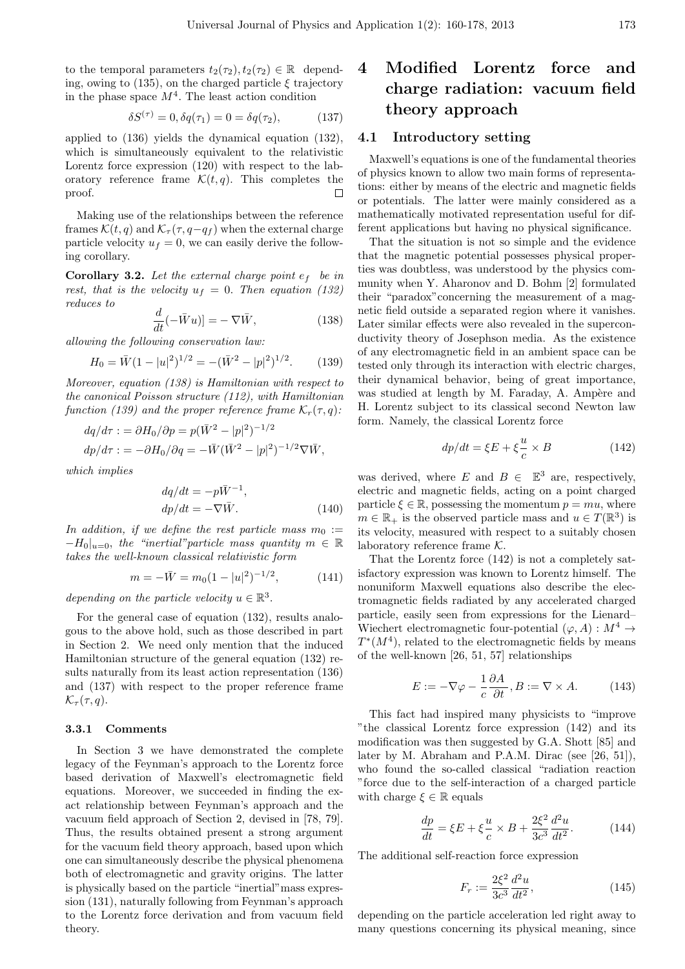to the temporal parameters  $t_2(\tau_2), t_2(\tau_2) \in \mathbb{R}$  depending, owing to (135), on the charged particle *ξ* trajectory in the phase space  $M^4$ . The least action condition

$$
\delta S^{(\tau)} = 0, \delta q(\tau_1) = 0 = \delta q(\tau_2), \tag{137}
$$

applied to (136) yields the dynamical equation (132), which is simultaneously equivalent to the relativistic Lorentz force expression (120) with respect to the laboratory reference frame  $\mathcal{K}(t,q)$ . This completes the proof.  $\Box$ 

Making use of the relationships between the reference frames  $\mathcal{K}(t, q)$  and  $\mathcal{K}_{\tau}(\tau, q-q_f)$  when the external charge particle velocity  $u_f = 0$ , we can easily derive the following corollary.

**Corollary 3.2.** Let the external charge point  $e_f$  be in *rest, that is the velocity*  $u_f = 0$ *. Then equation (132) reduces to*

$$
\frac{d}{dt}(-\bar{W}u) = -\nabla \bar{W},\qquad(138)
$$

*allowing the following conservation law:*

$$
H_0 = \bar{W}(1 - |u|^2)^{1/2} = -(\bar{W}^2 - |p|^2)^{1/2}.
$$
 (139)

*Moreover, equation (138) is Hamiltonian with respect to the canonical Poisson structure (112), with Hamiltonian function (139) and the proper reference frame*  $K_r(\tau, q)$ :

$$
dq/d\tau := \partial H_0/\partial p = p(\overline{W}^2 - |p|^2)^{-1/2}
$$
  

$$
dp/d\tau := -\partial H_0/\partial q = -\overline{W}(\overline{W}^2 - |p|^2)^{-1/2}\nabla \overline{W},
$$

*which implies*

$$
dq/dt = -p\bar{W}^{-1},
$$
  
\n
$$
dp/dt = -\nabla \bar{W}.
$$
\n(140)

*In addition, if we define the rest particle mass*  $m_0 :=$  $-F$ <sub>*H*</sub> $|u=0$ *, the "inertial" particle mass quantity*  $m \in \mathbb{R}$ *takes the well-known classical relativistic form*

$$
m = -\bar{W} = m_0 (1 - |u|^2)^{-1/2}, \qquad (141)
$$

*depending on the particle velocity*  $u \in \mathbb{R}^3$ .

For the general case of equation (132), results analogous to the above hold, such as those described in part in Section 2. We need only mention that the induced Hamiltonian structure of the general equation (132) results naturally from its least action representation (136) and (137) with respect to the proper reference frame  $\mathcal{K}_{\tau}(\tau,q)$ .

#### **3.3.1 Comments**

In Section 3 we have demonstrated the complete legacy of the Feynman's approach to the Lorentz force based derivation of Maxwell's electromagnetic field equations. Moreover, we succeeded in finding the exact relationship between Feynman's approach and the vacuum field approach of Section 2, devised in [78, 79]. Thus, the results obtained present a strong argument for the vacuum field theory approach, based upon which one can simultaneously describe the physical phenomena both of electromagnetic and gravity origins. The latter is physically based on the particle "inertial"mass expression (131), naturally following from Feynman's approach to the Lorentz force derivation and from vacuum field theory.

# **4 Modified Lorentz force and charge radiation: vacuum field theory approach**

#### **4.1 Introductory setting**

Maxwell's equations is one of the fundamental theories of physics known to allow two main forms of representations: either by means of the electric and magnetic fields or potentials. The latter were mainly considered as a mathematically motivated representation useful for different applications but having no physical significance.

That the situation is not so simple and the evidence that the magnetic potential possesses physical properties was doubtless, was understood by the physics community when Y. Aharonov and D. Bohm [2] formulated their "paradox"concerning the measurement of a magnetic field outside a separated region where it vanishes. Later similar effects were also revealed in the superconductivity theory of Josephson media. As the existence of any electromagnetic field in an ambient space can be tested only through its interaction with electric charges, their dynamical behavior, being of great importance, was studied at length by M. Faraday, A. Ampère and H. Lorentz subject to its classical second Newton law form. Namely, the classical Lorentz force

$$
dp/dt = \xi E + \xi \frac{u}{c} \times B \tag{142}
$$

was derived, where *E* and  $B \in \mathbb{E}^3$  are, respectively, electric and magnetic fields, acting on a point charged particle  $\xi \in \mathbb{R}$ , possessing the momentum  $p = mu$ , where  $m \in \mathbb{R}_+$  is the observed particle mass and  $u \in T(\mathbb{R}^3)$  is its velocity, measured with respect to a suitably chosen laboratory reference frame *K.*

That the Lorentz force (142) is not a completely satisfactory expression was known to Lorentz himself. The nonuniform Maxwell equations also describe the electromagnetic fields radiated by any accelerated charged particle, easily seen from expressions for the Lienard– Wiechert electromagnetic four-potential  $(\varphi, A) : M^4 \to$  $T^*(M^4)$ , related to the electromagnetic fields by means of the well-known [26, 51, 57] relationships

$$
E := -\nabla \varphi - \frac{1}{c} \frac{\partial A}{\partial t}, B := \nabla \times A. \quad (143)
$$

This fact had inspired many physicists to "improve "the classical Lorentz force expression (142) and its modification was then suggested by G.A. Shott [85] and later by M. Abraham and P.A.M. Dirac (see [26, 51]), who found the so-called classical "radiation reaction "force due to the self-interaction of a charged particle with charge  $\xi \in \mathbb{R}$  equals

$$
\frac{dp}{dt} = \xi E + \xi \frac{u}{c} \times B + \frac{2\xi^2}{3c^3} \frac{d^2u}{dt^2}.
$$
 (144)

The additional self-reaction force expression

$$
F_r := \frac{2\xi^2}{3c^3} \frac{d^2u}{dt^2},\tag{145}
$$

depending on the particle acceleration led right away to many questions concerning its physical meaning, since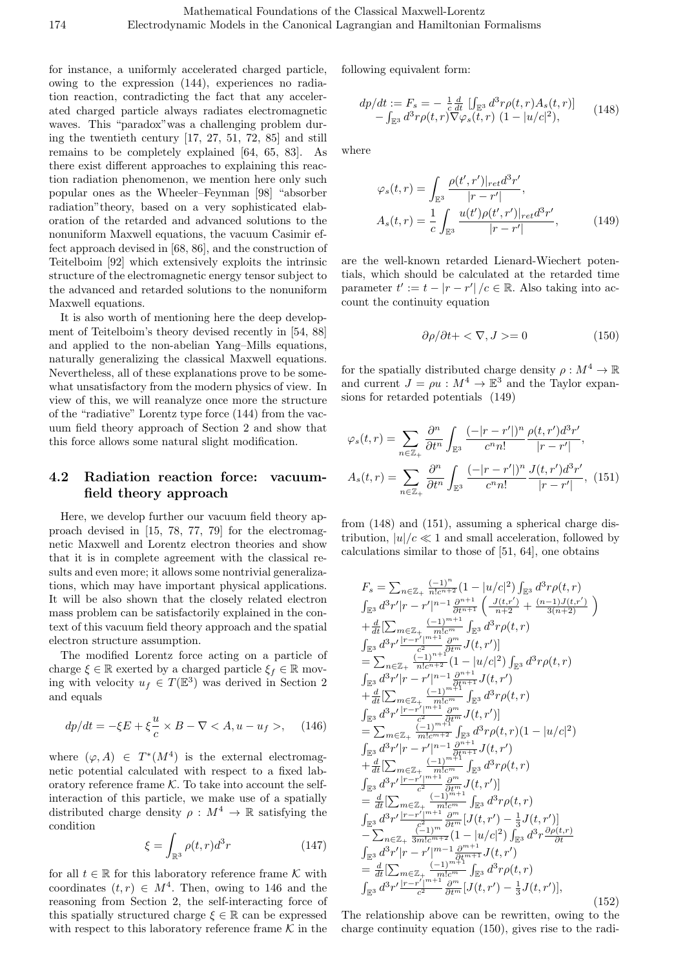for instance, a uniformly accelerated charged particle, owing to the expression (144), experiences no radiation reaction, contradicting the fact that any accelerated charged particle always radiates electromagnetic waves. This "paradox"was a challenging problem during the twentieth century [17, 27, 51, 72, 85] and still remains to be completely explained [64, 65, 83]. As there exist different approaches to explaining this reaction radiation phenomenon, we mention here only such popular ones as the Wheeler–Feynman [98] "absorber radiation"theory, based on a very sophisticated elaboration of the retarded and advanced solutions to the nonuniform Maxwell equations, the vacuum Casimir effect approach devised in [68, 86], and the construction of Teitelboim [92] which extensively exploits the intrinsic structure of the electromagnetic energy tensor subject to the advanced and retarded solutions to the nonuniform Maxwell equations.

It is also worth of mentioning here the deep development of Teitelboim's theory devised recently in [54, 88] and applied to the non-abelian Yang–Mills equations, naturally generalizing the classical Maxwell equations. Nevertheless, all of these explanations prove to be somewhat unsatisfactory from the modern physics of view. In view of this, we will reanalyze once more the structure of the "radiative" Lorentz type force (144) from the vacuum field theory approach of Section 2 and show that this force allows some natural slight modification.

## **4.2 Radiation reaction force: vacuumfield theory approach**

Here, we develop further our vacuum field theory approach devised in [15, 78, 77, 79] for the electromagnetic Maxwell and Lorentz electron theories and show that it is in complete agreement with the classical results and even more; it allows some nontrivial generalizations, which may have important physical applications. It will be also shown that the closely related electron mass problem can be satisfactorily explained in the context of this vacuum field theory approach and the spatial electron structure assumption.

The modified Lorentz force acting on a particle of charge  $\xi \in \mathbb{R}$  exerted by a charged particle  $\xi_f \in \mathbb{R}$  moving with velocity  $u_f \in T(\mathbb{E}^3)$  was derived in Section 2 and equals

$$
dp/dt = -\xi E + \xi \frac{u}{c} \times B - \nabla < A, u - u_f >,\tag{146}
$$

where  $(\varphi, A) \in T^*(M^4)$  is the external electromagnetic potential calculated with respect to a fixed laboratory reference frame  $K$ . To take into account the selfinteraction of this particle, we make use of a spatially distributed charge density  $\rho : M^4 \to \mathbb{R}$  satisfying the condition

$$
\xi = \int_{\mathbb{R}^3} \rho(t, r) d^3 r \tag{147}
$$

for all  $t \in \mathbb{R}$  for this laboratory reference frame  $K$  with coordinates  $(t, r) \in M^4$ . Then, owing to 146 and the reasoning from Section 2, the self-interacting force of this spatially structured charge  $\xi \in \mathbb{R}$  can be expressed with respect to this laboratory reference frame  $K$  in the following equivalent form:

$$
dp/dt := F_s = -\frac{1}{c} \frac{d}{dt} \left[ \int_{\mathbb{E}^3} d^3r \rho(t, r) A_s(t, r) \right] - \int_{\mathbb{E}^3} d^3r \rho(t, r) \nabla \varphi_s(t, r) \left( 1 - |u/c|^2 \right), \tag{148}
$$

where

$$
\varphi_s(t,r) = \int_{\mathbb{E}^3} \frac{\rho(t',r')|_{ret} d^3r'}{|r-r'|},
$$
  
\n
$$
A_s(t,r) = \frac{1}{c} \int_{\mathbb{E}^3} \frac{u(t')\rho(t',r')|_{ret} d^3r'}{|r-r'|},
$$
\n(149)

are the well-known retarded Lienard-Wiechert potentials, which should be calculated at the retarded time parameter  $t' := t - |r - r'| / c \in \mathbb{R}$ . Also taking into account the continuity equation

$$
\partial \rho / \partial t + \langle \nabla, J \rangle = 0 \tag{150}
$$

for the spatially distributed charge density  $\rho : M^4 \to \mathbb{R}$ and current  $J = \rho u : M^4 \to \mathbb{E}^3$  and the Taylor expansions for retarded potentials (149)

$$
\varphi_s(t,r) = \sum_{n \in \mathbb{Z}_+} \frac{\partial^n}{\partial t^n} \int_{\mathbb{E}^3} \frac{(-|r-r'|)^n}{c^n n!} \frac{\rho(t,r')d^3r'}{|r-r'|},
$$

$$
A_s(t,r) = \sum_{n \in \mathbb{Z}_+} \frac{\partial^n}{\partial t^n} \int_{\mathbb{E}^3} \frac{(-|r-r'|)^n}{c^n n!} \frac{J(t,r')d^3r'}{|r-r'|}, \tag{151}
$$

from (148) and (151), assuming a spherical charge distribution,  $|u|/c \ll 1$  and small acceleration, followed by calculations similar to those of [51, 64], one obtains

$$
F_{s} = \sum_{n \in \mathbb{Z}_{+}} \frac{(-1)^{n}}{n!c^{n+2}} (1 - |u/c|^{2}) \int_{\mathbb{E}^{3}} d^{3}r \rho(t, r)
$$
  
\n
$$
\int_{\mathbb{E}^{3}} d^{3}r'|r - r'|^{n-1} \frac{\partial^{n+1}}{\partial t^{n+1}} \left( \frac{J(t, r')}{n+2} + \frac{(n-1)J(t, r')}{3(n+2)} \right)
$$
  
\n
$$
+ \frac{d}{dt} \left[ \sum_{m \in \mathbb{Z}_{+}} \frac{(-1)^{m+1}}{m!c^{m}} \int_{\mathbb{E}^{3}} d^{3}r \rho(t, r) \right]
$$
  
\n
$$
= \sum_{n \in \mathbb{Z}_{+}} \frac{(-1)^{n+1}}{n!c^{n+2}} (1 - |u/c|^{2}) \int_{\mathbb{E}^{3}} d^{3}r \rho(t, r)
$$
  
\n
$$
\int_{\mathbb{E}^{3}} d^{3}r'|r - r'|^{n-1} \frac{\partial^{n+1}}{\partial t^{n+1}} J(t, r')
$$
  
\n
$$
+ \frac{d}{dt} \left[ \sum_{m \in \mathbb{Z}_{+}} \frac{(-1)^{m+1}}{m!c^{m}} \int_{\mathbb{E}^{3}} d^{3}r \rho(t, r) \right]
$$
  
\n
$$
= \sum_{m \in \mathbb{Z}_{+}} \frac{(-1)^{m+1}}{m!c^{m}} \int_{\mathbb{E}^{3}} d^{3}r \rho(t, r)
$$
  
\n
$$
\int_{\mathbb{E}^{3}} d^{3}r' \frac{|r-r'|^{m+1}}{m!c^{m+2}} \int_{\mathbb{E}^{3}} d^{3}r \rho(t, r) (1 - |u/c|^{2})
$$
  
\n
$$
\int_{\mathbb{E}^{3}} d^{3}r'|r - r'|^{n-1} \frac{\partial^{n+1}}{\partial t^{n+1}} J(t, r')
$$
  
\n
$$
+ \frac{d}{dt} \left[ \sum_{m \in \mathbb{Z}_{+}} \frac{(-1)^{m+1}}{m!c^{m}} \int_{\mathbb{E}^{3}} d^{3}r \rho(t, r) \right]
$$
  
\n

The relationship above can be rewritten, owing to the charge continuity equation (150), gives rise to the radi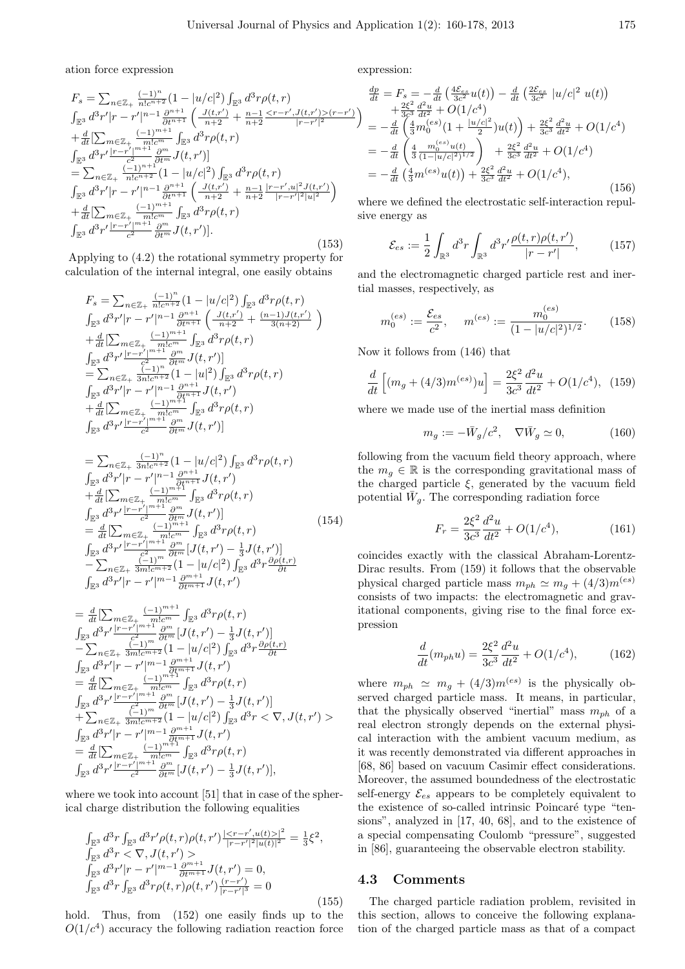ation force expression

$$
F_s = \sum_{n \in \mathbb{Z}_+} \frac{(-1)^n}{n!c^{n+2}} (1 - |u/c|^2) \int_{\mathbb{E}^3} d^3r \rho(t, r)
$$
  
\n
$$
\int_{\mathbb{E}^3} d^3r'|r - r'|^{n-1} \frac{\partial^{n+1}}{\partial t^{n+1}} \left( \frac{J(t, r')}{n+2} + \frac{n-1}{n+2} \frac{ (r-r')}{|r-r'|^2} \right)
$$
  
\n
$$
+ \frac{d}{dt} \left[ \sum_{m \in \mathbb{Z}_+} \frac{(-1)^{m+1}}{m!c^m} \int_{\mathbb{E}^3} d^3r \rho(t, r) \right]
$$
  
\n
$$
\int_{\mathbb{E}^3} d^3r' \frac{|r-r'|^{m+1}}{c^2} \frac{\partial^m}{\partial t^m} J(t, r') \right]
$$
  
\n
$$
= \sum_{n \in \mathbb{Z}_+} \frac{(-1)^{n+1}}{n!c^{n+2}} (1 - |u/c|^2) \int_{\mathbb{E}^3} d^3r \rho(t, r)
$$
  
\n
$$
\int_{\mathbb{E}^3} d^3r'|r - r'|^{n-1} \frac{\partial^{n+1}}{\partial t^{n+1}} \left( \frac{J(t, r')}{n+2} + \frac{n-1}{n+2} \frac{|r-r', u|^2 J(t, r')}{|r-r'|^2 |u|^2} \right)
$$
  
\n
$$
+ \frac{d}{dt} \left[ \sum_{m \in \mathbb{Z}_+} \frac{(-1)^{m+1}}{c^2} \int_{\mathbb{B}^3} d^3r \rho(t, r) \right]
$$
  
\n
$$
\int_{\mathbb{E}^3} d^3r' \frac{|r-r'|^{m+1}}{c^2} \frac{\partial^m}{\partial t^m} J(t, r') \right].
$$
  
\n(153)

Applying to (4.2) the rotational symmetry property for calculation of the internal integral, one easily obtains

$$
F_s = \sum_{n \in \mathbb{Z}_+} \frac{(-1)^n}{n!c^{n+2}} (1 - |u/c|^2) \int_{\mathbb{E}^3} d^3r \rho(t, r)
$$
  
\n
$$
\int_{\mathbb{E}^3} d^3r'|r - r'|^{n-1} \frac{\partial^{n+1}}{\partial t^{n+1}} \left( \frac{J(t, r')}{n+2} + \frac{(n-1)J(t, r')}{3(n+2)} \right)
$$
  
\n
$$
+ \frac{d}{dt} \left[ \sum_{m \in \mathbb{Z}_+} \frac{(-1)^{m+1}}{m!c^m} \int_{\mathbb{E}^3} d^3r \rho(t, r) \right]
$$
  
\n
$$
\int_{\mathbb{E}^3} d^3r' \frac{|r - r'|^{m+1}}{c^2} \frac{\partial^m}{\partial t^m} J(t, r')|
$$
  
\n
$$
= \sum_{n \in \mathbb{Z}_+} \frac{(-1)^n}{3n!c^{n+2}} (1 - |u|^2) \int_{\mathbb{E}^3} d^3r \rho(t, r)
$$
  
\n
$$
\int_{\mathbb{E}^3} d^3r'|r - r'|^{n-1} \frac{\partial^{n+1}}{\partial t^{n+1}} J(t, r')
$$
  
\n
$$
+ \frac{d}{dt} \left[ \sum_{m \in \mathbb{Z}_+} \frac{(-1)^{m+1}}{m!c^m} \int_{\mathbb{E}^3} d^3r \rho(t, r)
$$
  
\n
$$
\int_{\mathbb{E}^3} d^3r' \frac{|r - r'|^{m+1}}{c^2} \frac{\partial^m}{\partial t^m} J(t, r') \right]
$$

$$
= \sum_{n \in \mathbb{Z}_{+}} \frac{(-1)^{n}}{3n!c^{n+2}} (1 - |u/c|^{2}) \int_{\mathbb{E}^{3}} d^{3}r \rho(t, r)
$$
  
\n
$$
\int_{\mathbb{E}^{3}} d^{3}r'|r - r'|^{n-1} \frac{\partial^{n+1}}{\partial t^{n+1}} J(t, r')
$$
  
\n
$$
+ \frac{d}{dt} \left[ \sum_{m \in \mathbb{Z}_{+}} \frac{(-1)^{m+1}}{m!c^{m}} \int_{\mathbb{E}^{3}} d^{3}r \rho(t, r) \right]
$$
  
\n
$$
\int_{\mathbb{E}^{3}} d^{3}r' \frac{|r - r'|^{m+1}}{c^{2}} \frac{\partial^{m}}{\partial t^{m}} J(t, r')]
$$
  
\n
$$
= \frac{d}{dt} \left[ \sum_{m \in \mathbb{Z}_{+}} \frac{(-1)^{m+1}}{n!c^{m}} \int_{\mathbb{E}^{3}} d^{3}r \rho(t, r) \right]
$$
  
\n
$$
- \sum_{n \in \mathbb{Z}_{+}} \frac{(-1)^{m}}{2} \frac{\partial^{m}}{\partial t^{m}} [J(t, r') - \frac{1}{3} J(t, r')]
$$
  
\n
$$
- \sum_{n \in \mathbb{Z}_{+}} \frac{(-1)^{m}}{3m!c^{m+2}} (1 - |u/c|^{2}) \int_{\mathbb{E}^{3}} d^{3}r \frac{\partial \rho(t, r)}{\partial t}
$$
  
\n
$$
\int_{\mathbb{E}^{3}} d^{3}r'|r - r'|^{m-1} \frac{\partial^{m+1}}{\partial t^{m+1}} J(t, r')
$$

$$
= \frac{d}{dt} \left[ \sum_{m \in \mathbb{Z}_{+}} \frac{(-1)^{m+1}}{m!c^{m}} \int_{\mathbb{E}^{3}} d^{3}r \rho(t, r) \right]
$$
\n
$$
\int_{\mathbb{E}^{3}} d^{3}r' \frac{|r-r'|^{m+1}}{2} \frac{\partial^{m}}{\partial t^{m}} [J(t, r') - \frac{1}{3}J(t, r')] - \sum_{n \in \mathbb{Z}_{+}} \frac{(-1)^{m}}{3n!c^{m+2}} (1 - |u/c|^{2}) \int_{\mathbb{E}^{3}} d^{3}r \frac{\partial \rho(t, r)}{\partial t}
$$
\n
$$
\int_{\mathbb{E}^{3}} d^{3}r' |r - r'|^{m-1} \frac{\partial^{m+1}}{\partial t^{m+1}} J(t, r') - \frac{d}{dt} \left[ \sum_{m \in \mathbb{Z}_{+}} \frac{(-1)^{m+1}}{m!c^{m}} \int_{\mathbb{E}^{3}} d^{3}r \rho(t, r) \right]
$$
\n
$$
+ \sum_{n \in \mathbb{Z}_{+}} \frac{(-1)^{m}}{3n!c^{m+2}} (1 - |u/c|^{2}) \int_{\mathbb{E}^{3}} d^{3}r < \nabla, J(t, r') > \int_{\mathbb{E}^{3}} d^{3}r' |r - r'|^{m-1} \frac{\partial^{m+1}}{\partial t^{m+1}} J(t, r') - \frac{1}{3} J(t, r') = \frac{d}{dt} \left[ \sum_{m \in \mathbb{Z}_{+}} \frac{(-1)^{m+2}}{m!c^{m}} \int_{\mathbb{E}^{3}} d^{3}r \rho(t, r) - \frac{1}{3} J(t, r') \right],
$$
\n
$$
\int_{\mathbb{E}^{3}} d^{3}r' \frac{|r - r'|^{m+1}}{c^{2}} \frac{\partial^{m}}{\partial t^{m}} [J(t, r') - \frac{1}{3} J(t, r')],
$$

where we took into account [51] that in case of the spherical charge distribution the following equalities

$$
\int_{\mathbb{E}^3} d^3r \int_{\mathbb{E}^3} d^3r' \rho(t,r) \rho(t,r') \frac{|\langle r-r', u(t) \rangle|^2}{|r-r'|^2 |u(t)|^2} = \frac{1}{3} \xi^2,
$$
\n
$$
\int_{\mathbb{E}^3} d^3r < \nabla, J(t,r') > \\
\int_{\mathbb{E}^3} d^3r' |r-r'|^{m-1} \frac{\partial^{m+1}}{\partial t^{m+1}} J(t,r') = 0,
$$
\n
$$
\int_{\mathbb{E}^3} d^3r \int_{\mathbb{E}^3} d^3r \rho(t,r) \rho(t,r') \frac{(r-r')}{|r-r'|^3} = 0
$$
\n(155)

hold. Thus, from (152) one easily finds up to the  $O(1/c<sup>4</sup>)$  accuracy the following radiation reaction force expression:

$$
\frac{dp}{dt} = F_s = -\frac{d}{dt} \left( \frac{4\mathcal{E}_{es}}{3c^2} u(t) \right) - \frac{d}{dt} \left( \frac{2\mathcal{E}_{es}}{3c^2} |u/c|^2 u(t) \right) \n+ \frac{2\xi^2}{3c^3} \frac{d^2u}{dt^2} + O(1/c^4) \n= -\frac{d}{dt} \left( \frac{4}{3} m_0^{(es)} \left( 1 + \frac{|u/c|^2}{2} \right) u(t) \right) + \frac{2\xi^2}{3c^3} \frac{d^2u}{dt^2} + O(1/c^4) \n= -\frac{d}{dt} \left( \frac{4}{3} \frac{m_0^{(es)} u(t)}{(1 - |u/c|^2)^{1/2}} \right) + \frac{2\xi^2}{3c^3} \frac{d^2u}{dt^2} + O(1/c^4) \n= -\frac{d}{dt} \left( \frac{4}{3} m^{(es)} u(t) \right) + \frac{2\xi^2}{3c^3} \frac{d^2u}{dt^2} + O(1/c^4),
$$
\n(156)

where we defined the electrostatic self-interaction repulsive energy as

$$
\mathcal{E}_{es} := \frac{1}{2} \int_{\mathbb{R}^3} d^3 r \int_{\mathbb{R}^3} d^3 r' \frac{\rho(t, r) \rho(t, r')}{|r - r'|}, \qquad (157)
$$

and the electromagnetic charged particle rest and inertial masses, respectively, as

$$
m_0^{(es)} := \frac{\mathcal{E}_{es}}{c^2}, \quad m^{(es)} := \frac{m_0^{(es)}}{(1 - |u/c|^2)^{1/2}}.
$$
 (158)

Now it follows from (146) that

$$
\frac{d}{dt}\left[ (m_g + (4/3)m^{(es)})u \right] = \frac{2\xi^2}{3c^3} \frac{d^2u}{dt^2} + O(1/c^4), \quad (159)
$$

where we made use of the inertial mass definition

$$
m_g := -\bar{W}_g/c^2, \quad \nabla \bar{W}_g \simeq 0,
$$
\n(160)

following from the vacuum field theory approach, where the  $m_q \in \mathbb{R}$  is the corresponding gravitational mass of the charged particle *ξ,* generated by the vacuum field potential  $\bar{W}_g$ . The corresponding radiation force

$$
F_r = \frac{2\xi^2}{3c^3} \frac{d^2u}{dt^2} + O(1/c^4),\tag{161}
$$

coincides exactly with the classical Abraham-Lorentz-Dirac results. From (159) it follows that the observable physical charged particle mass  $m_{ph} \simeq m_q + (4/3)m^{(es)}$ consists of two impacts: the electromagnetic and gravitational components, giving rise to the final force expression

$$
\frac{d}{dt}(m_{ph}u) = \frac{2\xi^2}{3c^3}\frac{d^2u}{dt^2} + O(1/c^4),\tag{162}
$$

where  $m_{ph} \simeq m_g + (4/3)m^{(es)}$  is the physically observed charged particle mass. It means, in particular, that the physically observed "inertial" mass  $m_{ph}$  of a real electron strongly depends on the external physical interaction with the ambient vacuum medium, as it was recently demonstrated via different approaches in [68, 86] based on vacuum Casimir effect considerations. Moreover, the assumed boundedness of the electrostatic self-energy  $\mathcal{E}_{es}$  appears to be completely equivalent to the existence of so-called intrinsic Poincaré type "tensions", analyzed in [17, 40, 68], and to the existence of a special compensating Coulomb "pressure", suggested in [86], guaranteeing the observable electron stability.

#### **4.3 Comments**

The charged particle radiation problem, revisited in this section, allows to conceive the following explanation of the charged particle mass as that of a compact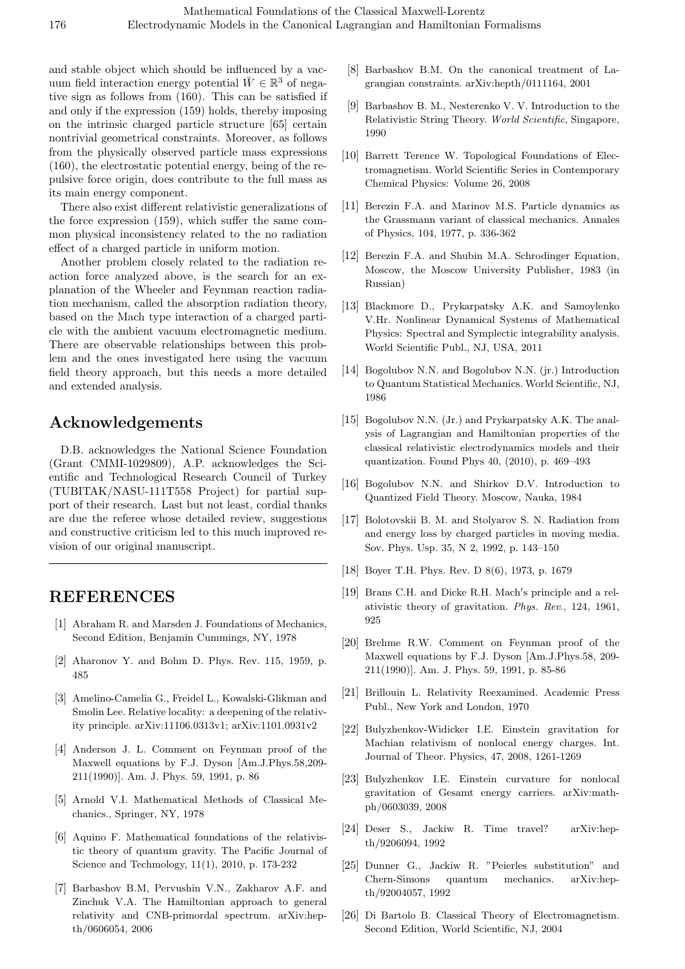and stable object which should be influenced by a vacuum field interaction energy potential  $\bar{W} \in \mathbb{R}^3$  of negative sign as follows from (160). This can be satisfied if and only if the expression (159) holds, thereby imposing on the intrinsic charged particle structure [65] certain nontrivial geometrical constraints. Moreover, as follows from the physically observed particle mass expressions (160), the electrostatic potential energy, being of the repulsive force origin, does contribute to the full mass as its main energy component.

There also exist different relativistic generalizations of the force expression (159), which suffer the same common physical inconsistency related to the no radiation effect of a charged particle in uniform motion.

Another problem closely related to the radiation reaction force analyzed above, is the search for an explanation of the Wheeler and Feynman reaction radiation mechanism, called the absorption radiation theory, based on the Mach type interaction of a charged particle with the ambient vacuum electromagnetic medium. There are observable relationships between this problem and the ones investigated here using the vacuum field theory approach, but this needs a more detailed and extended analysis.

# **Acknowledgements**

D.B. acknowledges the National Science Foundation (Grant CMMI-1029809), A.P. acknowledges the Scientific and Technological Research Council of Turkey (TUBITAK/NASU-111T558 Project) for partial support of their research. Last but not least, cordial thanks are due the referee whose detailed review, suggestions and constructive criticism led to this much improved revision of our original manuscript.

# **REFERENCES**

- [1] Abraham R. and Marsden J. Foundations of Mechanics, Second Edition, Benjamin Cummings, NY, 1978
- [2] Aharonov Y. and Bohm D. Phys. Rev. 115, 1959, p. 485
- [3] Amelino-Camelia G., Freidel L., Kowalski-Glikman and Smolin Lee. Relative locality: a deepening of the relativity principle. arXiv:11106.0313v1; arXiv:1101.0931v2
- [4] Anderson J. L. Comment on Feynman proof of the Maxwell equations by F.J. Dyson [Am.J.Phys.58,209- 211(1990)]. Am. J. Phys. 59, 1991, p. 86
- [5] Arnold V.I. Mathematical Methods of Classical Mechanics., Springer, NY, 1978
- [6] Aquino F. Mathematical foundations of the relativistic theory of quantum gravity. The Pacific Journal of Science and Techmology, 11(1), 2010, p. 173-232
- [7] Barbashov B.M, Pervushin V.N., Zakharov A.F. and Zinchuk V.A. The Hamiltonian approach to general relativity and CNB-primordal spectrum. arXiv:hepth/0606054, 2006
- [8] Barbashov B.M. On the canonical treatment of Lagrangian constraints. arXiv:hepth/0111164, 2001
- [9] Barbashov B. M., Nesterenko V. V. Introduction to the Relativistic String Theory. *World Scientific*, Singapore, 1990
- [10] Barrett Terence W. Topological Foundations of Electromagnetism. World Scientific Series in Contemporary Chemical Physics: Volume 26, 2008
- [11] Berezin F.A. and Marinov M.S. Particle dynamics as the Grassmann variant of classical mechanics. Annales of Physics, 104, 1977, p. 336-362
- [12] Berezin F.A. and Shubin M.A. Schrodinger Equation, Moscow, the Moscow University Publisher, 1983 (in Russian)
- [13] Blackmore D., Prykarpatsky A.K. and Samoylenko V.Hr. Nonlinear Dynamical Systems of Mathematical Physics: Spectral and Symplectic integrability analysis. World Scientific Publ., NJ, USA, 2011
- [14] Bogolubov N.N. and Bogolubov N.N. (jr.) Introduction to Quantum Statistical Mechanics. World Scientific, NJ, 1986
- [15] Bogolubov N.N. (Jr.) and Prykarpatsky A.K. The analysis of Lagrangian and Hamiltonian properties of the classical relativistic electrodynamics models and their quantization. Found Phys 40, (2010), p. 469–493
- [16] Bogolubov N.N. and Shirkov D.V. Introduction to Quantized Field Theory. Moscow, Nauka, 1984
- [17] Bolotovskii B. M. and Stolyarov S. N. Radiation from and energy loss by charged particles in moving media. Sov. Phys. Usp. 35, N 2, 1992, p. 143–150
- [18] Boyer T.H. Phys. Rev. D 8(6), 1973, p. 1679
- [19] Brans C.H. and Dicke R.H. Mach*′* s principle and a relativistic theory of gravitation. *Phys. Rev*., 124, 1961, 925
- [20] Brehme R.W. Comment on Feynman proof of the Maxwell equations by F.J. Dyson [Am.J.Phys.58, 209- 211(1990)]. Am. J. Phys. 59, 1991, p. 85-86
- [21] Brillouin L. Relativity Reexamined. Academic Press Publ., New York and London, 1970
- [22] Bulyzhenkov-Widicker I.E. Einstein gravitation for Machian relativism of nonlocal energy charges. Int. Journal of Theor. Physics, 47, 2008, 1261-1269
- [23] Bulyzhenkov I.E. Einstein curvature for nonlocal gravitation of Gesamt energy carriers. arXiv:mathph/0603039, 2008
- [24] Deser S., Jackiw R. Time travel? arXiv:hepth/9206094, 1992
- [25] Dunner G., Jackiw R. "Peierles substitution" and Chern-Simons quantum mechanics. arXiv:hepth/92004057, 1992
- [26] Di Bartolo B. Classical Theory of Electromagnetism. Second Edition, World Scientific, NJ, 2004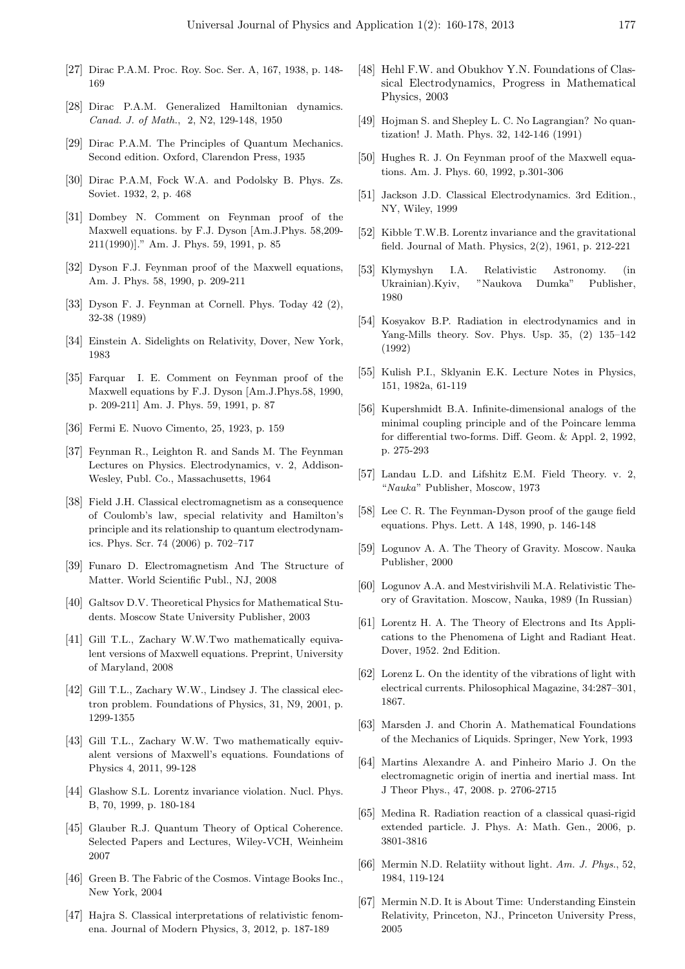- [27] Dirac P.A.M. Proc. Roy. Soc. Ser. A, 167, 1938, p. 148- 169
- [28] Dirac P.A.M. Generalized Hamiltonian dynamics. *Canad. J. of Math.*, 2, N2, 129-148, 1950
- [29] Dirac P.A.M. The Principles of Quantum Mechanics. Second edition. Oxford, Clarendon Press, 1935
- [30] Dirac P.A.M, Fock W.A. and Podolsky B. Phys. Zs. Soviet. 1932, 2, p. 468
- [31] Dombey N. Comment on Feynman proof of the Maxwell equations. by F.J. Dyson [Am.J.Phys. 58,209- 211(1990)]." Am. J. Phys. 59, 1991, p. 85
- [32] Dyson F.J. Feynman proof of the Maxwell equations, Am. J. Phys. 58, 1990, p. 209-211
- [33] Dyson F. J. Feynman at Cornell. Phys. Today 42 (2), 32-38 (1989)
- [34] Einstein A. Sidelights on Relativity, Dover, New York, 1983
- [35] Farquar I. E. Comment on Feynman proof of the Maxwell equations by F.J. Dyson [Am.J.Phys.58, 1990, p. 209-211] Am. J. Phys. 59, 1991, p. 87
- [36] Fermi E. Nuovo Cimento, 25, 1923, p. 159
- [37] Feynman R., Leighton R. and Sands M. The Feynman Lectures on Physics. Electrodynamics, v. 2, Addison-Wesley, Publ. Co., Massachusetts, 1964
- [38] Field J.H. Classical electromagnetism as a consequence of Coulomb's law, special relativity and Hamilton's principle and its relationship to quantum electrodynamics. Phys. Scr. 74 (2006) p. 702–717
- [39] Funaro D. Electromagnetism And The Structure of Matter. World Scientific Publ., NJ, 2008
- [40] Galtsov D.V. Theoretical Physics for Mathematical Students. Moscow State University Publisher, 2003
- [41] Gill T.L., Zachary W.W.Two mathematically equivalent versions of Maxwell equations. Preprint, University of Maryland, 2008
- [42] Gill T.L., Zachary W.W., Lindsey J. The classical electron problem. Foundations of Physics, 31, N9, 2001, p. 1299-1355
- [43] Gill T.L., Zachary W.W. Two mathematically equivalent versions of Maxwell's equations. Foundations of Physics 4, 2011, 99-128
- [44] Glashow S.L. Lorentz invariance violation. Nucl. Phys. B, 70, 1999, p. 180-184
- [45] Glauber R.J. Quantum Theory of Optical Coherence. Selected Papers and Lectures, Wiley-VCH, Weinheim 2007
- [46] Green B. The Fabric of the Cosmos. Vintage Books Inc., New York, 2004
- [47] Hajra S. Classical interpretations of relativistic fenomena. Journal of Modern Physics, 3, 2012, p. 187-189
- [48] Hehl F.W. and Obukhov Y.N. Foundations of Classical Electrodynamics, Progress in Mathematical Physics, 2003
- [49] Hojman S. and Shepley L. C. No Lagrangian? No quantization! J. Math. Phys. 32, 142-146 (1991)
- [50] Hughes R. J. On Feynman proof of the Maxwell equations. Am. J. Phys. 60, 1992, p.301-306
- [51] Jackson J.D. Classical Electrodynamics. 3rd Edition., NY, Wiley, 1999
- [52] Kibble T.W.B. Lorentz invariance and the gravitational field. Journal of Math. Physics, 2(2), 1961, p. 212-221
- [53] Klymyshyn I.A. Relativistic Astronomy. (in Ukrainian).Kyiv, "Naukova Dumka" Publisher, 1980
- [54] Kosyakov B.P. Radiation in electrodynamics and in Yang-Mills theory. Sov. Phys. Usp. 35, (2) 135–142 (1992)
- [55] Kulish P.I., Sklyanin E.K. Lecture Notes in Physics, 151, 1982a, 61-119
- [56] Kupershmidt B.A. Infinite-dimensional analogs of the minimal coupling principle and of the Poincare lemma for differential two-forms. Diff. Geom. & Appl. 2, 1992, p. 275-293
- [57] Landau L.D. and Lifshitz E.M. Field Theory. v. 2, "*Nauka*" Publisher, Moscow, 1973
- [58] Lee C. R. The Feynman-Dyson proof of the gauge field equations. Phys. Lett. A 148, 1990, p. 146-148
- [59] Logunov A. A. The Theory of Gravity. Moscow. Nauka Publisher, 2000
- [60] Logunov A.A. and Mestvirishvili M.A. Relativistic Theory of Gravitation. Moscow, Nauka, 1989 (In Russian)
- [61] Lorentz H. A. The Theory of Electrons and Its Applications to the Phenomena of Light and Radiant Heat. Dover, 1952. 2nd Edition.
- [62] Lorenz L. On the identity of the vibrations of light with electrical currents. Philosophical Magazine, 34:287–301, 1867.
- [63] Marsden J. and Chorin A. Mathematical Foundations of the Mechanics of Liquids. Springer, New York, 1993
- [64] Martins Alexandre A. and Pinheiro Mario J. On the electromagnetic origin of inertia and inertial mass. Int J Theor Phys., 47, 2008. p. 2706-2715
- [65] Medina R. Radiation reaction of a classical quasi-rigid extended particle. J. Phys. A: Math. Gen., 2006, p. 3801-3816
- [66] Mermin N.D. Relatiity without light. *Am. J. Phys*., 52, 1984, 119-124
- [67] Mermin N.D. It is About Time: Understanding Einstein Relativity, Princeton, NJ., Princeton University Press, 2005